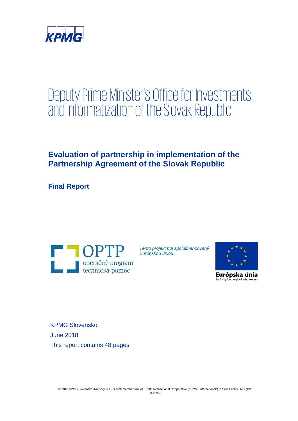

# Deputy Prime Minister's Office for Investments and Informatization of the Slovak Republic

# **Evaluation of partnership in implementation of the Partnership Agreement of the Slovak Republic**

**Final Report**



*Tento projekt bol spolufinancovaný Európskou úniou.* 



Európska únia Európsky fond regionálneho rozvoj

KPMG Slovensko June 2018 This report contains 48 pages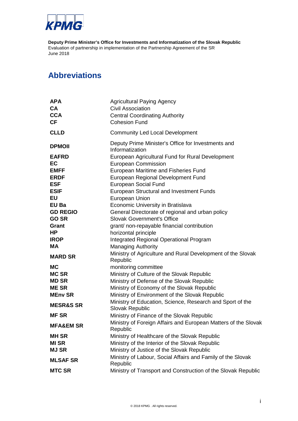

### **Abbreviations**

| <b>APA</b><br><b>CA</b><br><b>CCA</b><br><b>CF</b> | <b>Agricultural Paying Agency</b><br><b>Civil Association</b><br><b>Central Coordinating Authority</b><br><b>Cohesion Fund</b> |
|----------------------------------------------------|--------------------------------------------------------------------------------------------------------------------------------|
| <b>CLLD</b>                                        | <b>Community Led Local Development</b>                                                                                         |
| <b>DPMOII</b>                                      | Deputy Prime Minister's Office for Investments and<br>Informatization                                                          |
| <b>EAFRD</b>                                       | European Agricultural Fund for Rural Development                                                                               |
| EC                                                 | European Commission                                                                                                            |
| <b>EMFF</b>                                        | European Maritime and Fisheries Fund                                                                                           |
| <b>ERDF</b>                                        | European Regional Development Fund                                                                                             |
| <b>ESF</b>                                         | European Social Fund                                                                                                           |
| <b>ESIF</b>                                        | European Structural and Investment Funds                                                                                       |
| EU                                                 | European Union                                                                                                                 |
| EU Ba                                              | Economic University in Bratislava                                                                                              |
| <b>GD REGIO</b>                                    | General Directorate of regional and urban policy                                                                               |
| <b>GO SR</b>                                       | <b>Slovak Government's Office</b>                                                                                              |
| Grant                                              | grant/ non-repayable financial contribution                                                                                    |
| HP                                                 | horizontal principle                                                                                                           |
| <b>IROP</b>                                        | <b>Integrated Regional Operational Program</b>                                                                                 |
| <b>MA</b>                                          | <b>Managing Authority</b>                                                                                                      |
| <b>MARD SR</b>                                     | Ministry of Agriculture and Rural Development of the Slovak<br>Republic                                                        |
| <b>MC</b>                                          | monitoring committee                                                                                                           |
| <b>MC SR</b>                                       | Ministry of Culture of the Slovak Republic                                                                                     |
| <b>MD SR</b>                                       | Ministry of Defense of the Slovak Republic                                                                                     |
| <b>MESR</b>                                        | Ministry of Economy of the Slovak Republic                                                                                     |
| <b>MEny SR</b>                                     | Ministry of Environment of the Slovak Republic                                                                                 |
| <b>MESR&amp;S SR</b>                               | Ministry of Education, Science, Research and Sport of the<br>Slovak Republic                                                   |
| <b>MFSR</b>                                        | Ministry of Finance of the Slovak Republic                                                                                     |
| <b>MFA&amp;EM SR</b>                               | Ministry of Foreign Affairs and European Matters of the Slovak<br>Republic                                                     |
| <b>MH SR</b>                                       | Ministry of Healthcare of the Slovak Republic                                                                                  |
| <b>MI SR</b>                                       | Ministry of the Interior of the Slovak Republic                                                                                |
| <b>MJ SR</b>                                       | Ministry of Justice of the Slovak Republic                                                                                     |
| <b>MLSAF SR</b>                                    | Ministry of Labour, Social Affairs and Family of the Slovak<br>Republic                                                        |
| <b>MTC SR</b>                                      | Ministry of Transport and Construction of the Slovak Republic                                                                  |
|                                                    |                                                                                                                                |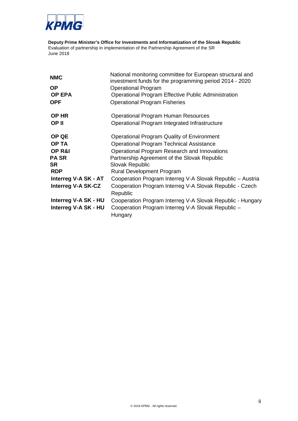

| <b>NMC</b>                | National monitoring committee for European structural and<br>investment funds for the programming period 2014 - 2020 |
|---------------------------|----------------------------------------------------------------------------------------------------------------------|
| ΟP                        | <b>Operational Program</b>                                                                                           |
| <b>OP EPA</b>             | <b>Operational Program Effective Public Administration</b>                                                           |
| <b>OPF</b>                | <b>Operational Program Fisheries</b>                                                                                 |
| <b>OP HR</b>              | <b>Operational Program Human Resources</b>                                                                           |
| OP II                     | Operational Program Integrated Infrastructure                                                                        |
| <b>OP QE</b>              | Operational Program Quality of Environment                                                                           |
| <b>OP TA</b>              | <b>Operational Program Technical Assistance</b>                                                                      |
| <b>OP R&amp;I</b>         | Operational Program Research and Innovations                                                                         |
| PA SR                     | Partnership Agreement of the Slovak Republic                                                                         |
| SR                        | Slovak Republic                                                                                                      |
| <b>RDP</b>                | <b>Rural Development Program</b>                                                                                     |
| Interreg V-A SK - AT      | Cooperation Program Interreg V-A Slovak Republic - Austria                                                           |
| <b>Interreg V-A SK-CZ</b> | Cooperation Program Interreg V-A Slovak Republic - Czech<br>Republic                                                 |
| Interreg V-A SK - HU      | Cooperation Program Interreg V-A Slovak Republic - Hungary                                                           |
| Interreg V-A SK - HU      | Cooperation Program Interreg V-A Slovak Republic -<br>Hungary                                                        |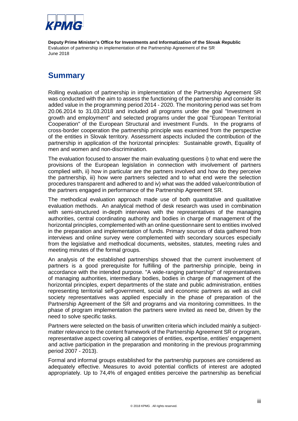

### **Summary**

Rolling evaluation of partnership in implementation of the Partnership Agreement SR was conducted with the aim to assess the functioning of the partnership and consider its added value in the programming period 2014 - 2020. The monitoring period was set from 20.06.2014 to 31.03.2018 and included all programs under the goal "Investment in growth and employment" and selected programs under the goal "European Territorial Cooperation" of the European Structural and investment Funds. In the programs of cross-border cooperation the partnership principle was examined from the perspective of the entities in Slovak territory. Assessment aspects included the contribution of the partnership in application of the horizontal principles: Sustainable growth, Equality of men and women and non-discrimination.

The evaluation focused to answer the main evaluating questions i) to what end were the provisions of the European legislation in connection with involvement of partners complied with, ii) how in particular are the partners involved and how do they perceive the partnership, iii) how were partners selected and to what end were the selection procedures transparent and adhered to and iv) what was the added value/contribution of the partners engaged in performance of the Partnership Agreement SR.

The methodical evaluation approach made use of both quantitative and qualitative evaluation methods. An analytical method of desk research was used in combination with semi-structured in-depth interviews with the representatives of the managing authorities, central coordinating authority and bodies in charge of management of the horizontal principles, complemented with an online questionnaire sent to entities involved in the preparation and implementation of funds. Primary sources of data gathered from interviews and online survey were complemented with secondary sources especially from the legislative and methodical documents, websites, statutes, meeting rules and meeting minutes of the formal groups.

An analysis of the established partnerships showed that the current involvement of partners is a good prerequisite for fulfilling of the partnership principle, being in accordance with the intended purpose. "A wide-ranging partnership" of representatives of managing authorities, intermediary bodies, bodies in charge of management of the horizontal principles, expert departments of the state and public administration, entities representing territorial self-government, social and economic partners as well as civil society representatives was applied especially in the phase of preparation of the Partnership Agreement of the SR and programs and via monitoring committees. In the phase of program implementation the partners were invited as need be, driven by the need to solve specific tasks.

Partners were selected on the basis of unwritten criteria which included mainly a subjectmatter relevance to the content framework of the Partnership Agreement SR or program, representative aspect covering all categories of entities, expertise, entities' engagement and active participation in the preparation and monitoring in the previous programming period 2007 - 2013).

Formal and informal groups established for the partnership purposes are considered as adequately effective. Measures to avoid potential conflicts of interest are adopted appropriately. Up to 74,4% of engaged entities perceive the partnership as beneficial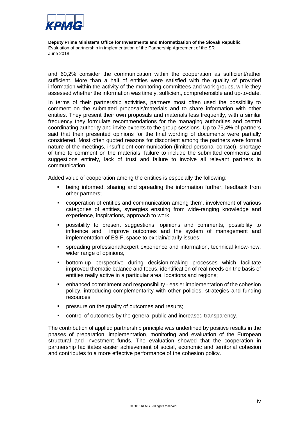

and 60,2% consider the communication within the cooperation as sufficient/rather sufficient. More than a half of entities were satisfied with the quality of provided information within the activity of the monitoring committees and work groups, while they assessed whether the information was timely, sufficient, comprehensible and up-to-date.

In terms of their partnership activities, partners most often used the possibility to comment on the submitted proposals/materials and to share information with other entities. They present their own proposals and materials less frequently, with a similar frequency they formulate recommendations for the managing authorities and central coordinating authority and invite experts to the group sessions. Up to 79,4% of partners said that their presented opinions for the final wording of documents were partially considered. Most often quoted reasons for discontent among the partners were formal nature of the meetings, insufficient communication (limited personal contact), shortage of time to comment on the materials, failure to include the submitted comments and suggestions entirely, lack of trust and failure to involve all relevant partners in communication

Added value of cooperation among the entities is especially the following:

- being informed, sharing and spreading the information further, feedback from other partners;
- cooperation of entities and communication among them, involvement of various categories of entities, synergies ensuing from wide-ranging knowledge and experience, inspirations, approach to work;
- possibility to present suggestions, opinions and comments, possibility to influence and improve outcomes and the system of management and implementation of ESIF, space to explain/clarify issues;
- spreading professional/expert experience and information, technical know-how, wider range of opinions,
- bottom-up perspective during decision-making processes which facilitate improved thematic balance and focus, identification of real needs on the basis of entities really active in a particular area, locations and regions;
- enhanced commitment and responsibility easier implementation of the cohesion policy, introducing complementarity with other policies, strategies and funding resources;
- **PEDIENE SHEET CONTER** or pressure on the quality of outcomes and results:
- control of outcomes by the general public and increased transparency.

The contribution of applied partnership principle was underlined by positive results in the phases of preparation, implementation, monitoring and evaluation of the European structural and investment funds. The evaluation showed that the cooperation in partnership facilitates easier achievement of social, economic and territorial cohesion and contributes to a more effective performance of the cohesion policy.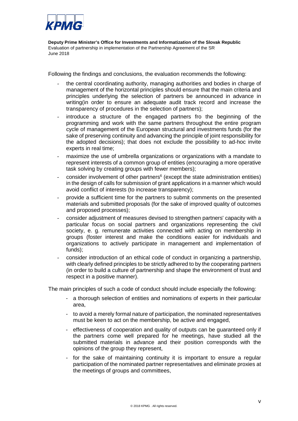

Following the findings and conclusions, the evaluation recommends the following:

- the central coordinating authority, managing authorities and bodies in charge of management of the horizontal principles should ensure that the main criteria and principles underlying the selection of partners be announced in advance in writing(in order to ensure an adequate audit track record and increase the transparency of procedures in the selection of partners);
- introduce a structure of the engaged partners fro the beginning of the programming and work with the same partners throughout the entire program cycle of management of the European structural and investments funds (for the sake of preserving continuity and advancing the principle of joint responsibility for the adopted decisions); that does not exclude the possibility to ad-hoc invite experts in real time;
- maximize the use of umbrella organizations or organizations with a mandate to represent interests of a common group of entities (encouraging a more operative task solving by creating groups with fewer members);
- consider involvement of other partners<sup>6</sup> (except the state administration entities) in the design of calls for submission of grant applications in a manner which would avoid conflict of interests (to increase transparency);
- provide a sufficient time for the partners to submit comments on the presented materials and submitted proposals (for the sake of improved quality of outcomes and proposed processes);
- consider adjustment of measures devised to strengthen partners' capacity with a particular focus on social partners and organizations representing the civil society, e. g. remunerate activities connected with acting on membership in groups (foster interest and make the conditions easier for individuals and organizations to actively participate in management and implementation of funds);
- consider introduction of an ethical code of conduct in organizing a partnership, with clearly defined principles to be strictly adhered to by the cooperating partners (in order to build a culture of partnership and shape the environment of trust and respect in a positive manner).

The main principles of such a code of conduct should include especially the following:

- a thorough selection of entities and nominations of experts in their particular area,
- to avoid a merely formal nature of participation, the nominated representatives must be keen to act on the membership, be active and engaged,
- effectiveness of cooperation and quality of outputs can be guaranteed only if the partners come well prepared for he meetings, have studied all the submitted materials in advance and their position corresponds with the opinions of the group they represent,
- for the sake of maintaining continuity it is important to ensure a regular participation of the nominated partner representatives and eliminate proxies at the meetings of groups and committees,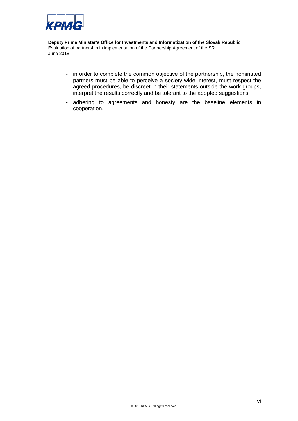

- in order to complete the common objective of the partnership, the nominated partners must be able to perceive a society-wide interest, must respect the agreed procedures, be discreet in their statements outside the work groups, interpret the results correctly and be tolerant to the adopted suggestions,
- adhering to agreements and honesty are the baseline elements in cooperation.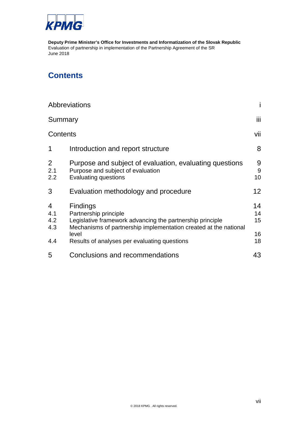

# **Contents**

|                               | Abbreviations                                                                                                                                                                                                                      |                                          |
|-------------------------------|------------------------------------------------------------------------------------------------------------------------------------------------------------------------------------------------------------------------------------|------------------------------------------|
| Summary                       |                                                                                                                                                                                                                                    | iii                                      |
| Contents                      |                                                                                                                                                                                                                                    | vii                                      |
| 1                             | Introduction and report structure                                                                                                                                                                                                  | 8                                        |
| $\overline{2}$<br>2.1<br>2.2  | Purpose and subject of evaluation, evaluating questions<br>Purpose and subject of evaluation<br><b>Evaluating questions</b>                                                                                                        | 9<br>$9\,$<br>10                         |
| 3                             | Evaluation methodology and procedure                                                                                                                                                                                               | 12 <sup>°</sup>                          |
| 4<br>4.1<br>4.2<br>4.3<br>4.4 | <b>Findings</b><br>Partnership principle<br>Legislative framework advancing the partnership principle<br>Mechanisms of partnership implementation created at the national<br>level<br>Results of analyses per evaluating questions | 14<br>14<br>15 <sup>15</sup><br>16<br>18 |
| 5                             | Conclusions and recommendations                                                                                                                                                                                                    | 43                                       |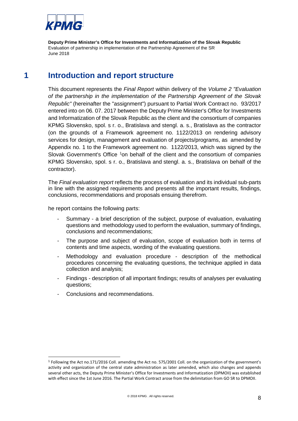

### **1 Introduction and report structure**

This document represents the *Final Report* within delivery of the *Volume 2 "Evaluation of the partnership in the implementation of the Partnership Agreement of the Slovak Republic"* (hereinafter the "assignment") pursuant to Partial Work Contract no. 93/2017 entered into on 06. 07. 2017 between the Deputy Prime Minister's Office for Investments and Informatization of the Slovak Republic as the client and the consortium of companies KPMG Slovensko, spol. s r. o., Bratislava and stengl. a. s., Bratislava as the contractor (on the grounds of a Framework agreement no. 1122/2013 on rendering advisory services for design, management and evaluation of projects/programs, as amended by Appendix no. 1 to the Framework agreement no. 1122/2013, which was signed by the Slovak Government's Office <sup>[1](#page-8-0)</sup>on behalf of the client and the consortium of companies KPMG Slovensko, spol. s r. o., Bratislava and stengl. a. s., Bratislava on behalf of the contractor).

The *Final evaluation report* reflects the process of evaluation and its individual sub-parts in line with the assigned requirements and presents all the important results, findings, conclusions, recommendations and proposals ensuing therefrom.

he report contains the following parts:

- Summary a brief description of the subject, purpose of evaluation, evaluating questions and methodology used to perform the evaluation, summary of findings, conclusions and recommendations;
- The purpose and subject of evaluation, scope of evaluation both in terms of contents and time aspects, wording of the evaluating questions.
- Methodology and evaluation procedure description of the methodical procedures concerning the evaluating questions, the technique applied in data collection and analysis;
- Findings description of all important findings; results of analyses per evaluating questions;
- Conclusions and recommendations.

<span id="page-8-0"></span> <sup>1</sup> Following the Act no.171/2016 Coll. amending the Act no. 575/2001 Coll. on the organization of the government's activity and organization of the central state administration as later amended, which also changes and appends several other acts, the Deputy Prime Minister's Office for Investments and Informatization (DPMOII) was established with effect since the 1st June 2016. The Partial Work Contract arose from the delimitation from GO SR to DPMOII.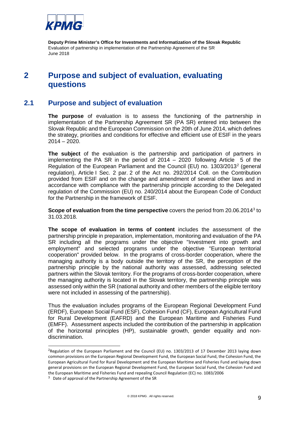

# **2 Purpose and subject of evaluation, evaluating questions**

### **2.1 Purpose and subject of evaluation**

**The purpose** of evaluation is to assess the functioning of the partnership in implementation of the Partnership Agreement SR (PA SR) entered into between the Slovak Republic and the European Commission on the 20th of June 2014, which defines the strategy, priorities and conditions for effective and efficient use of ESIF in the years 2014 – 2020.

<span id="page-9-2"></span>**The subject** of the evaluation is the partnership and participation of partners in implementing the PA SR in the period of 2014 – 2020 following Article 5 of the Regulation of the European Parliament and the Council (EU) no. 1303/2013[2](#page-9-0) (general regulation), Article I Sec. 2 par. 2 of the Act no. 292/2014 Coll. on the Contribution provided from ESIF and on the change and amendment of several other laws and in accordance with compliance with the partnership principle according to the Delegated regulation of the Commission (EU) no. 240/2014 about the European Code of Conduct for the Partnership in the framework of ESIF.

**Scope of evaluation from the time perspective** covers the period from 20.06.2014[3](#page-9-1) to 31.03.2018.

**The scope of evaluation in terms of content** includes the assessment of the partnership principle in preparation, implementation, monitoring and evaluation of the PA SR including all the programs under the objective "Investment into growth and employment" and selected programs under the objective "European territorial cooperation" provided below. In the programs of cross-border cooperation, where the managing authority is a body outside the territory of the SR, the perception of the partnership principle by the national authority was assessed, addressing selected partners within the Slovak territory. For the programs of cross-border cooperation, where the managing authority is located in the Slovak territory, the partnership principle was assessed only within the SR (national authority and other members of the eligible territory were not included in assessing of the partnership).

Thus the evaluation includes programs of the European Regional Development Fund (ERDF), European Social Fund (ESF), Cohesion Fund (CF), European Agricultural Fund for Rural Development (EAFRD) and the European Maritime and Fisheries Fund (EMFF). Assessment aspects included the contribution of the partnership in application of the horizontal principles (HP), sustainable growth, gender equality and nondiscrimination.

<span id="page-9-0"></span><sup>&</sup>lt;sup>2</sup>Regulation of the European Parliament and the Council (EU) no. 1303/2013 of 17 December 2013 laying down common provisions on the European Regional Development Fund, the European Social Fund, the Cohesion Fund, the European Agricultural Fund for Rural Development and the European Maritime and Fisheries Fund and laying down general provisions on the European Regional Development Fund, the European Social Fund, the Cohesion Fund and the European Maritime and Fisheries Fund and repealing Council Regulation (EC) no. 1083/2006

<span id="page-9-1"></span><sup>3</sup> Date of approval of the Partnership Agreement of the SR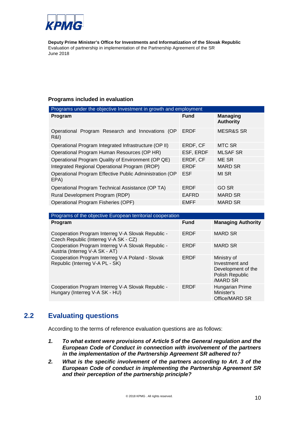

#### **Programs included in evaluation**

| Programs under the objective Investment in growth and employment     |             |                                     |  |  |
|----------------------------------------------------------------------|-------------|-------------------------------------|--|--|
| Program                                                              | <b>Fund</b> | <b>Managing</b><br><b>Authority</b> |  |  |
| Operational Program Research and Innovations (OP<br><b>R&amp;I</b> ) | <b>ERDF</b> | <b>MESR&amp;S SR</b>                |  |  |
| Operational Program Integrated Infrastructure (OP II)                | ERDF, CF    | MTC SR                              |  |  |
| Operational Program Human Resources (OP HR)                          | ESF, ERDF   | <b>MLSAF SR</b>                     |  |  |
| Operational Program Quality of Environment (OP QE)                   | ERDF, CF    | ME SR                               |  |  |
| Integrated Regional Operational Program (IROP)                       | <b>ERDF</b> | <b>MARD SR</b>                      |  |  |
| Operational Program Effective Public Administration (OP<br>EPA)      | <b>ESF</b>  | MI SR                               |  |  |
| Operational Program Technical Assistance (OP TA)                     | <b>ERDF</b> | GO SR                               |  |  |
| Rural Development Program (RDP)                                      | EAFRD       | <b>MARD SR</b>                      |  |  |
| Operational Program Fisheries (OPF)                                  | <b>EMFF</b> | <b>MARD SR</b>                      |  |  |

| Programs of the objective European territorial cooperation                                  |             |                                                                                    |  |  |
|---------------------------------------------------------------------------------------------|-------------|------------------------------------------------------------------------------------|--|--|
| Program                                                                                     | <b>Fund</b> | <b>Managing Authority</b>                                                          |  |  |
| Cooperation Program Interreg V-A Slovak Republic -<br>Czech Republic (Interreg V-A SK - CZ) | ERDF        | <b>MARD SR</b>                                                                     |  |  |
| Cooperation Program Interreg V-A Slovak Republic -<br>Austria (Interreg V-A SK - AT)        | ERDF        | <b>MARD SR</b>                                                                     |  |  |
| Cooperation Program Interreg V-A Poland - Slovak<br>Republic (Interreg V-A PL - SK)         | ERDF        | Ministry of<br>Investment and<br>Development of the<br>Polish Republic<br>/MARD SR |  |  |
| Cooperation Program Interreg V-A Slovak Republic -<br>Hungary (Interreg V-A SK - HU)        | ERDF        | Hungarian Prime<br>Minister's<br>Office/MARD SR                                    |  |  |

### **2.2 Evaluating questions**

According to the terms of reference evaluation questions are as follows:

- *1. To what extent were provisions of Article 5 of the General regulation and the European Code of Conduct in connection with involvement of the partners in the implementation of the Partnership Agreement SR adhered to?*
- *2. What is the specific involvement of the partners according to Art. 3 of the European Code of conduct in implementing the Partnership Agreement SR and their perception of the partnership principle?*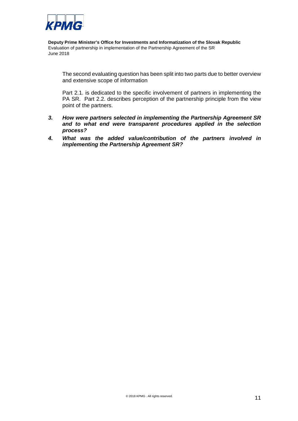

The second evaluating question has been split into two parts due to better overview and extensive scope of information

Part 2.1. is dedicated to the specific involvement of partners in implementing the PA SR. Part 2.2. describes perception of the partnership principle from the view point of the partners.

- *3. How were partners selected in implementing the Partnership Agreement SR and to what end were transparent procedures applied in the selection process?*
- *4. What was the added value/contribution of the partners involved in implementing the Partnership Agreement SR?*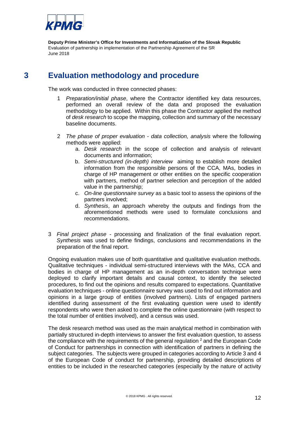

# **3 Evaluation methodology and procedure**

The work was conducted in three connected phases:

- 1 *Preparation/initial phase*, where the Contractor identified key data resources, performed an overall review of the data and proposed the evaluation methodology to be applied. Within this phase the Contractor applied the method of *desk research* to scope the mapping, collection and summary of the necessary baseline documents.
- 2 *The phase of proper evaluation data collection, analysis* where the following methods were applied:
	- a. *Desk research* in the scope of collection and analysis of relevant documents and information;
	- b. *Semi-structured (in-depth) interview* aiming to establish more detailed information from the responsible persons of the CCA, MAs, bodies in charge of HP management or other entities on the specific cooperation with partners, method of partner selection and perception of the added value in the partnership;
	- c. *On-line questionnaire survey* as a basic tool to assess the opinions of the partners involved;
	- d. *Synthesis*, an approach whereby the outputs and findings from the aforementioned methods were used to formulate conclusions and recommendations.
- 3 *Final project phase -* processing and finalization of the final evaluation report. *Synthesis* was used to define findings, conclusions and recommendations in the preparation of the final report.

Ongoing evaluation makes use of both quantitative and qualitative evaluation methods. Qualitative techniques - individual semi-structured interviews with the MAs, CCA and bodies in charge of HP management as an in-depth conversation technique were deployed to clarify important details and causal context, to identify the selected procedures, to find out the opinions and results compared to expectations. Quantitative evaluation techniques - online questionnaire survey was used to find out information and opinions in a large group of entities (involved partners). Lists of engaged partners identified during assessment of the first evaluating question were used to identify respondents who were then asked to complete the online questionnaire (with respect to the total number of entities involved), and a census was used.

The desk research method was used as the main analytical method in combination with partially structured in-depth interviews to answer the first evaluation question, to assess the compliance with the requirements of the general regulation  $2$  and the European Code of Conduct for partnerships in connection with identification of partners in defining the subject categories. The subjects were grouped in categories according to Article 3 and 4 of the European Code of conduct for partnership, providing detailed descriptions of entities to be included in the researched categories (especially by the nature of activity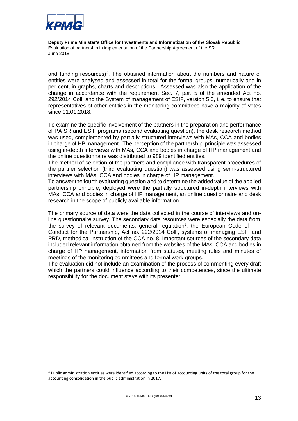

and funding resources)<sup>[4](#page-13-0)</sup>. The obtained information about the numbers and nature of entities were analysed and assessed in total for the formal groups, numerically and in per cent, in graphs, charts and descriptions. Assessed was also the application of the change in accordance with the requirement Sec. 7, par. 5 of the amended Act no. 292/2014 Coll. and the System of management of ESIF, version 5.0, i. e. to ensure that representatives of other entities in the monitoring committees have a majority of votes since 01.01.2018.

To examine the specific involvement of the partners in the preparation and performance of PA SR and ESIF programs (second evaluating question), the desk research method was used, complemented by partially structured interviews with MAs, CCA and bodies in charge of HP management. The perception of the partnership principle was assessed using in-depth interviews with MAs, CCA and bodies in charge of HP management and the online questionnaire was distributed to 989 identified entities.

The method of selection of the partners and compliance with transparent procedures of the partner selection (third evaluating question) was assessed using semi-structured interviews with MAs, CCA and bodies in charge of HP management.

To answer the fourth evaluating question and to determine the added value of the applied partnership principle, deployed were the partially structured in-depth interviews with MAs, CCA and bodies in charge of HP management, an online questionnaire and desk research in the scope of publicly available information.

The primary source of data were the data collected in the course of interviews and online questionnaire survey. The secondary data resources were especially the data from the survey of relevant documents: general regulation<sup>2</sup>[, the](#page-9-2) European Code of Conduct for the Partnership, Act no. 292/2014 Coll., systems of managing ESIF and PRD, methodical instruction of the CCA no. 8. Important sources of the secondary data included relevant information obtained from the websites of the MAs, CCA and bodies in charge of HP management, information from statutes, meeting rules and minutes of meetings of the monitoring committees and formal work groups.

The evaluation did not include an examination of the process of commenting every draft which the partners could influence according to their competences, since the ultimate responsibility for the document stays with its presenter.

<span id="page-13-0"></span><sup>4</sup> Public administration entities were identified according to the List of accounting units of the total group for the accounting consolidation in the public administration in 2017.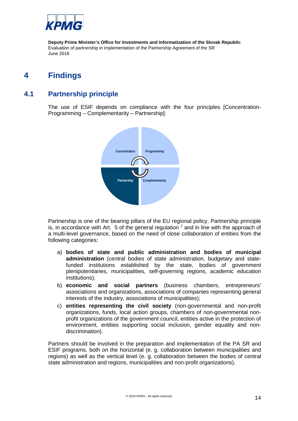

# **4 Findings**

### **4.1 Partnership principle**

The use of ESIF depends on compliance with the four principles [Concentration-Programming – Complementarity – Partnership]:



Partnership is one of the bearing pillars of the EU regional policy. Partnership principle is, in accordance with Art. 5 of the general regulation  $2$  and in line with the approach of a multi-level governance, based on the need of close collaboration of entities from the following categories:

- a) **bodies of state and public administration and bodies of municipal administration** (central bodies of state administration, budgetary and statefunded institutions established by the state, bodies of government plenipotentiaries, municipalities, self-governing regions, academic education institutions);
- b) **economic and social partners** (business chambers, entrepreneurs' associations and organizations, associations of companies representing general interests of the industry, associations of municipalities);
- c) **entities representing the civil society** (non-governmental and non-profit organizations, funds, local action groups, chambers of non-governmental nonprofit organizations of the government council, entities active in the protection of environment, entities supporting social inclusion, gender equality and nondiscrimination).

Partners should be involved in the preparation and implementation of the PA SR and ESIF programs, both on the horizontal (e. g. collaboration between municipalities and regions) as well as the vertical level (e. g. collaboration between the bodies of central state administration and regions, municipalities and non-profit organizations).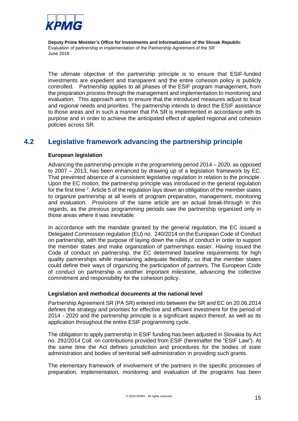

The ultimate objective of the partnership principle is to ensure that ESIF-funded investments are expedient and transparent and the entire cohesion policy is publicly controlled. Partnership applies to all phases of the ESIF program management, from the preparation process through the management and implementation to monitoring and evaluation. This approach aims to ensure that the introduced measures adjust to local and regional needs and priorities. The partnership intends to direct the ESIF assistance to those areas and in such a manner that PA SR is implemented in accordance with its purpose and in order to achieve the anticipated effect of applied regional and cohesion policies across SR.

### **4.2 Legislative framework advancing the partnership principle**

#### **European legislation**

Advancing the partnership principle in the programming period 2014 – 2020, as opposed to 2007 – 2013, has been enhanced by drawing up of a legislation framework by EC. That prevented absence of a consistent legislative regulation in relation to the principle. Upon the EC motion, the partnership principle was introduced in the general regulation for the first time <sup>[2](#page-9-2)</sup>. Article 5 of the regulation lays down an obligation of the member states to organize partnership at all levels of program preparation, management, monitoring and evaluation. Provisions of the same article are an actual break-through in this regards, as the previous programming periods saw the partnership organized only in those areas where it was inevitable.

In accordance with the mandate granted by the general regulation, the EC issued a Delegated Commission regulation (EU) no. 240/2014 on the European Code of Conduct on partnership, with the purpose of laying down the rules of conduct in order to support the member states and make organization of partnerships easier. Having issued the Code of conduct on partnership, the EC determined baseline requirements for high quality partnerships while maintaining adequate flexibility, so that the member states could define their ways of organizing the participation of partners. The European Code of conduct on partnership is another important milestone, advancing the collective commitment and responsibility for the cohesion policy.

#### **Legislation and methodical documents at the national level**

Partnership Agreement SR (PA SR) entered into between the SR and EC on 20.06.2014 defines the strategy and priorities for effective and efficient investment for the period of 2014 - 2020 and the partnership principle is a significant aspect thereof, as well as its application throughout the entire ESIF programming cycle.

The obligation to apply partnership in ESIF funding has been adjusted in Slovakia by Act no. 292/2014 Coll. on contributions provided from ESIF (hereinafter the "ESIF Law"). At the same time the Act defines jurisdiction and procedures for the bodies of state administration and bodies of territorial self-administration in providing such grants.

The elementary framework of involvement of the partners in the specific processes of preparation, implementation, monitoring and evaluation of the programs has been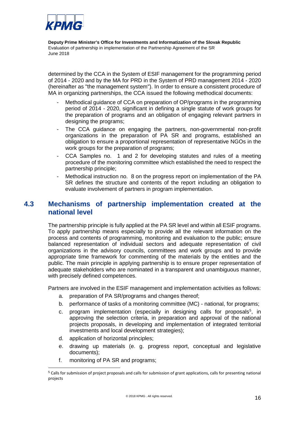

determined by the CCA in the System of ESIF management for the programming period of 2014 - 2020 and by the MA for PRD in the System of PRD management 2014 - 2020 (hereinafter as "the management system"). In order to ensure a consistent procedure of MA in organizing partnerships, the CCA issued the following methodical documents:

- Methodical guidance of CCA on preparation of OP/programs in the programming period of 2014 - 2020, significant in defining a single statute of work groups for the preparation of programs and an obligation of engaging relevant partners in designing the programs;
- The CCA guidance on engaging the partners, non-governmental non-profit organizations in the preparation of PA SR and programs, established an obligation to ensure a proportional representation of representative NGOs in the work groups for the preparation of programs;
- CCA Samples no. 1 and 2 for developing statutes and rules of a meeting procedure of the monitoring committee which established the need to respect the partnership principle;
- Methodical instruction no. 8 on the progress report on implementation of the PA SR defines the structure and contents of the report including an obligation to evaluate involvement of partners in program implementation.

### **4.3 Mechanisms of partnership implementation created at the national level**

The partnership principle is fully applied at the PA SR level and within all ESIF programs. To apply partnership means especially to provide all the relevant information on the process and contents of programming, monitoring and evaluation to the public; ensure balanced representation of individual sectors and adequate representation of civil organizations in the advisory councils, committees and work groups and to provide appropriate time framework for commenting of the materials by the entities and the public. The main principle in applying partnership is to ensure proper representation of adequate stakeholders who are nominated in a transparent and unambiguous manner, with precisely defined competences.

Partners are involved in the ESIF management and implementation activities as follows:

- a. preparation of PA SR/programs and changes thereof;
- b. performance of tasks of a monitoring committee (MC) national, for programs;
- c. program implementation (especially in designing calls for proposals<sup>5</sup>, in approving the selection criteria, in preparation and approval of the national projects proposals, in developing and implementation of integrated territorial investments and local development strategies);
- d. application of horizontal principles;
- e. drawing up materials (e. g. progress report, conceptual and legislative documents);
- f. monitoring of PA SR and programs;

<span id="page-16-0"></span> <sup>5</sup> Calls for submission of project proposals and calls for submission of grant applications, calls for presenting national projects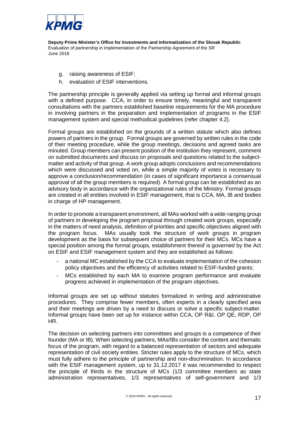

- g. raising awareness of ESIF;
- h. evaluation of ESIF interventions.

The partnership principle is generally applied via setting up formal and informal groups with a defined purpose. CCA, in order to ensure timely, meaningful and transparent consultations with the partners established baseline requirements for the MA procedure in involving partners in the preparation and implementation of programs in the ESIF management system and special methodical guidelines (refer chapter 4.2).

Formal groups are established on the grounds of a written statute which also defines powers of partners in the group. Formal groups are governed by written rules in the code of their meeting procedure, while the group meetings, decisions and agreed tasks are minuted. Group members can present position of the institution they represent, comment on submitted documents and discuss on proposals and questions related to the subjectmatter and activity of that group. A work group adopts conclusions and recommendations which were discussed and voted on, while a simple majority of votes is necessary to approve a conclusion/recommendation (in cases of significant importance a consensual approval of all the group members is required). A formal group can be established as an advisory body in accordance with the organizational rules of the Ministry. Formal groups are created in all entities involved in ESIF management, that is CCA, MA, IB and bodies in charge of HP management.

In order to promote a transparent environment, all MAs worked with a wide-ranging group of partners in developing the program proposal through created work groups, especially in the matters of need analysis, definition of priorities and specific objectives aligned with the program focus. MAs usually took the structure of work groups in program development as the basis for subsequent choice of partners for their MCs. MCs have a special position among the formal groups, establishment thereof is governed by the Act on ESIF and ESIF management system and they are established as follows:

- a national MC established by the CCA to evaluate implementation of the cohesion policy objectives and the efficiency of activities related to ESIF-funded grants;
- MCs established by each MA to examine program performance and evaluate progress achieved in implementation of the program objectives.

Informal groups are set up without statutes formalized in writing and administrative procedures. They comprise fewer members, often experts in a clearly specified area and their meetings are driven by a need to discuss or solve a specific subject-matter. Informal groups have been set up for instance within CCA, OP R&I, OP QE, RDP, OP HR.

The decision on selecting partners into committees and groups is a competence of their founder (MA or IB). When selecting partners, MAs/IBs consider the content and thematic focus of the program, with regard to a balanced representation of sectors and adequate representation of civil society entities. Stricter rules apply to the structure of MCs, which must fully adhere to the principle of partnership and non-discrimination. In accordance with the ESIF management system, up to 31.12.2017 it was recommended to respect the principle of thirds in the structure of MCs (1/3 committee members as state administration representatives, 1/3 representatives of self-government and 1/3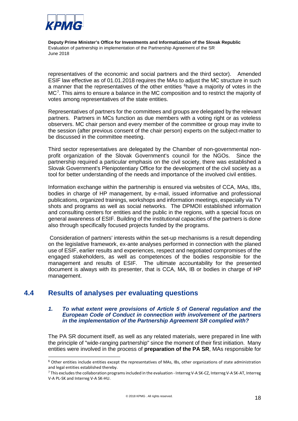

<span id="page-18-3"></span><span id="page-18-0"></span>representatives of the economic and social partners and the third sector). Amended ESIF law effective as of 01.01.2018 requires the MAs to adjust the MC structure in such a manner that the representatives of the other entities <sup>[6](#page-18-1)</sup>have a majority of votes in the MC[7](#page-18-2) . This aims to ensure a balance in the MC composition and to restrict the majority of votes among representatives of the state entities.

Representatives of partners for the committees and groups are delegated by the relevant partners. Partners in MCs function as due members with a voting right or as voteless observers. MC chair person and every member of the committee or group may invite to the session (after previous consent of the chair person) experts on the subject-matter to be discussed in the committee meeting.

Third sector representatives are delegated by the Chamber of non-governmental nonprofit organization of the Slovak Government's council for the NGOs. Since the partnership required a particular emphasis on the civil society, there was established a Slovak Government's Plenipotentiary Office for the development of the civil society as a tool for better understanding of the needs and importance of the involved civil entities.

Information exchange within the partnership is ensured via websites of CCA, MAs, IBs, bodies in charge of HP management, by e-mail, issued informative and professional publications, organized trainings, workshops and information meetings, especially via TV shots and programs as well as social networks. The DPMOII established information and consulting centers for entities and the public in the regions, with a special focus on general awareness of ESIF. Building of the institutional capacities of the partners is done also through specifically focused projects funded by the programs.

Consideration of partners' interests within the set-up mechanisms is a result depending on the legislative framework, ex-ante analyses performed in connection with the planed use of ESIF, earlier results and experiences, respect and negotiated compromises of the engaged stakeholders, as well as competences of the bodies responsible for the management and results of ESIF. The ultimate accountability for the presented document is always with its presenter, that is CCA, MA, IB or bodies in charge of HP management.

### **4.4 Results of analyses per evaluating questions**

#### *1. To what extent were provisions of Article 5 of General regulation and the European Code of Conduct in connection with involvement of the partners in the implementation of the Partnership Agreement SR complied with?*

The PA SR document itself, as well as any related materials, were prepared in line with the principle of "wide-ranging partnership" since the moment of their first initiation. Many entities were involved in the process of **preparation of the PA SR**, MAs responsible for

<span id="page-18-1"></span> <sup>6</sup> Other entities include entities except the representatives of MAs, IBs, other organizations of state administration and legal entities established thereby.

<span id="page-18-2"></span><sup>&</sup>lt;sup>7</sup> This excludes the collaboration programs included in the evaluation - Interreg V-A SK-CZ, Interreg V-A SK-AT, Interreg V-A PL-SK and Interreg V-A SK-HU.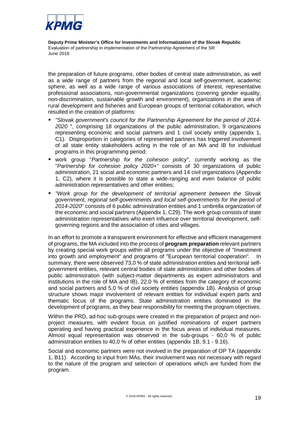

the preparation of future programs, other bodies of central state administration, as well as a wide range of partners from the regional and local self-government, academic sphere, as well as a wide range of various associations of interest, representative professional associations, non-governmental organizations (covering gender equality, non-discrimination, sustainable growth and environment), organizations in the area of rural development and fisheries and European groups of territorial collaboration, which resulted in the creation of platforms:

- *"Slovak government's council for the Partnership Agreement for the period of 2014- 2020* ", comprising 18 organizations of the public administration, 9 organizations representing economic and social partners and 1 civil society entity (appendix 1, C1). Disproportion in categories of represented partners has triggered involvement of all state entity stakeholders acting in the role of an MA and IB for individual programs in this programming period;
- work group "*Partnership for the cohesion policy*", currently working as the "*Partnership for cohesion policy 2020+"* consists of 30 organizations of public administration, 21 social and economic partners and 14 civil organizations (Appendix 1, C2), where it is possible to state a wide-ranging and even balance of public administration representatives and other entities;
- *"Work group for the development of territorial agreement between the Slovak government, regional self-governments and local self-governments for the period of 2014-2020*" consists of 6 public administration entities and 1 umbrella organization of the economic and social partners (Appendix 1, C29). The work group consists of state administration representatives who exert influence over territorial development, selfgoverning regions and the association of cities and villages.

In an effort to promote a transparent environment for effective and efficient management of programs, the MA included into the process of **program preparation** relevant partners by creating special work groups within all programs under the objective of "Investment into growth and employment" and programs of "European territorial cooperation". In summary, there were observed 73,0 % of state administration entities and territorial selfgovernment entities, relevant central bodies of state administration and other bodies of public administration (with subject-matter departments as expert administrators and institutions in the role of MA and IB), 22,0 % of entities from the category of economic and social partners and 5,0 % of civil society entities (appendix 1B). Analysis of group structure shows major involvement of relevant entities for individual expert parts and thematic focus of the programs. State administration entities dominated in the development of programs, as they bear responsibility for meeting the program objectives.

Within the PRD, ad-hoc sub-groups were created in the preparation of project and nonproject measures, with evident focus on justified nominations of expert partners operating and having practical experience in the focus areas of individual measures. Almost equal representation was observed in the sub-groups - 60,0 % of public administration entities to 40,0 % of other entities (appendix 1B, 9.1 - 9.16).

Social and economic partners were not involved in the preparation of OP TA (appendix 1, B11). According to input from MAs, their involvement was not necessary with regard to the nature of the program and selection of operations which are funded from the program.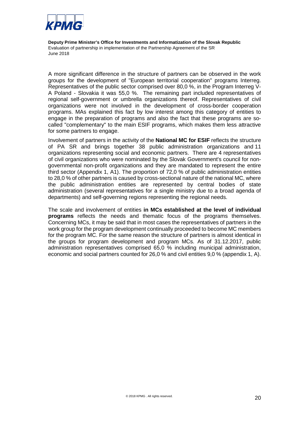

A more significant difference in the structure of partners can be observed in the work groups for the development of "European territorial cooperation" programs Interreg. Representatives of the public sector comprised over 80,0 %, in the Program Interreg V-A Poland - Slovakia it was 55,0 %. The remaining part included representatives of regional self-government or umbrella organizations thereof. Representatives of civil organizations were not involved in the development of cross-border cooperation programs. MAs explained this fact by low interest among this category of entities to engage in the preparation of programs and also the fact that these programs are socalled "complementary" to the main ESIF programs, which makes them less attractive for some partners to engage.

Involvement of partners in the activity of the **National MC for ESIF** reflects the structure of PA SR and brings together 38 public administration organizations and 11 organizations representing social and economic partners. There are 4 representatives of civil organizations who were nominated by the Slovak Government's council for nongovernmental non-profit organizations and they are mandated to represent the entire third sector (Appendix 1, A1). The proportion of 72,0 % of public administration entities to 28,0 % of other partners is caused by cross-sectional nature of the national MC, where the public administration entities are represented by central bodies of state administration (several representatives for a single ministry due to a broad agenda of departments) and self-governing regions representing the regional needs.

The scale and involvement of entities **in MCs established at the level of individual programs** reflects the needs and thematic focus of the programs themselves. Concerning MCs, it may be said that in most cases the representatives of partners in the work group for the program development continually proceeded to become MC members for the program MC. For the same reason the structure of partners is almost identical in the groups for program development and program MCs. As of 31.12.2017, public administration representatives comprised 65,0 % including municipal administration, economic and social partners counted for 26,0 % and civil entities 9,0 % (appendix 1, A).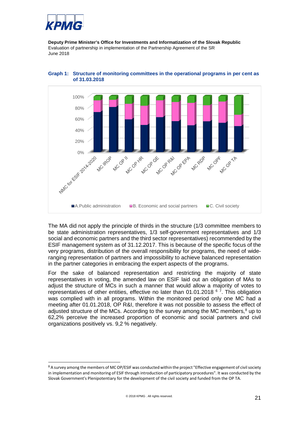



<span id="page-21-2"></span>

The MA did not apply the principle of thirds in the structure (1/3 committee members to be state administration representatives, 1/3 self-government representatives and 1/3 social and economic partners and the third sector representatives) recommended by the ESIF management system as of 31.12.2017. This is because of the specific focus of the very programs, distribution of the overall responsibility for programs, the need of wideranging representation of partners and impossibility to achieve balanced representation in the partner categories in embracing the expert aspects of the programs.

<span id="page-21-1"></span>For the sake of balanced representation and restricting the majority of state representatives in voting, the amended law on ESIF laid out an obligation of MAs to adjust the structure of MCs in such a manner that would allow a majority of votes to representatives of other entities, effective no later than 01.01.2018 <sup>[6](#page-18-0)[7](#page-18-3)</sup>. This obligation was complied with in all programs. Within the monitored period only one MC had a meeting after 01.01.2018, OP R&I, therefore it was not possible to assess the effect of adjusted structure of the MCs. According to the survey among the MC members, $8 \text{ up to}$  $8 \text{ up to}$ 62,2% perceive the increased proportion of economic and social partners and civil organizations positively vs. 9,2 % negatively.

<span id="page-21-0"></span><sup>&</sup>lt;sup>8</sup> A survey among the members of MC OP/ESIF was conducted within the project "Effective engagement of civil society in implementation and monitoring of ESIF through introduction of participatory procedures". It was conducted by the Slovak Government's Plenipotentiary for the development of the civil society and funded from the OP TA.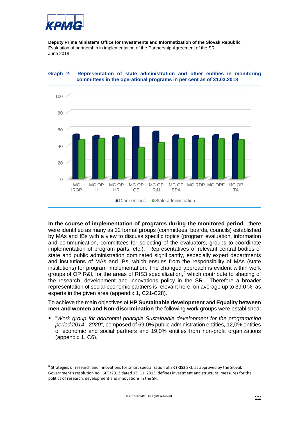



<span id="page-22-1"></span>

**In the course of implementation of programs during the monitored period,** there were identified as many as 32 formal groups (committees, boards, councils) established by MAs and IBs with a view to discuss specific topics (program evaluation, information and communication, committees for selecting of the evaluators, groups to coordinate implementation of program parts, etc.). Representatives of relevant central bodies of state and public administration dominated significantly, especially expert departments and institutions of MAs and IBs, which ensues from the responsibility of MAs (state institutions) for program implementation. The changed approach is evident within work groups of OP R&I, for the areas of RIS3 specialization,<sup>[9](#page-22-0)</sup> which contribute to shaping of the research, development and innovations policy in the SR. Therefore a broader representation of social-economic partners is relevant here, on average up to 39,0 %, as experts in the given area (appendix 1, C21-C28).

To achieve the main objectives of **HP Sustainable development** and **Equality between men and women and Non-discrimination** the following work groups were established:

 "*Work group for horizontal principle Sustainable development for the programming period 2014 - 2020*", composed of 69,0% public administration entities, 12,0% entities of economic and social partners and 19,0% entities from non-profit organizations (appendix 1, C6),

<span id="page-22-0"></span><sup>&</sup>lt;sup>9</sup> Strategies of research and innovations for smart specialization of SR (RIS3 SK), as approved by the Slovak Government's resolution no. 665/2013 dated 13. 11. 2013, defines investment and structural measures for the politics of research, development and innovations in the SR.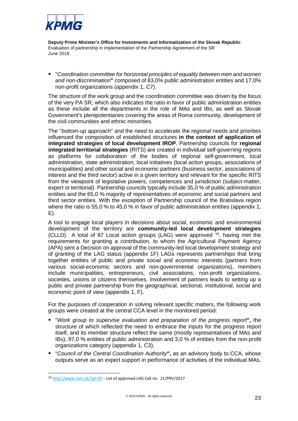

 "*Coordination committee for horizontal principles of equality between men and women and non-discrimination***"** composed of 83,0% public administration entities and 17,0% non-profit organizations (appendix 1, C7).

The structure of the work group and the coordination committee was driven by the focus of the very PA SR, which also indicates the ratio in favor of public administration entities as these include all the departments in the role of MAs and IBs, as well as Slovak Government's plenipotentiaries covering the areas of Roma community, development of the civil communities and ethnic minorities.

The "*bottom-up approach*" and the need to accelerate the regional needs and priorities influenced the composition of established structures **in the context of application of integrated strategies of local development IROP**. Partnership councils for **regional integrated territorial strategies** (RITS) are created in individual self-governing regions as platforms for collaboration of the bodies of regional self-government, local administration, state administration, local initiatives (local action groups, associations of municipalities) and other social and economic partners (business sector, associations of interest and the third sector) active in a given territory and relevant for the specific RITS from the viewpoint of legislative powers, competences and jurisdiction (subject-matter, expert or territorial). Partnership councils typically include 35,0 % of public administration entities and the 65,0 % majority of representatives of economic and social partners and third sector entities. With the exception of Partnership council of the Bratislava region where the ratio is 55,0 % to 45,0 % in favor of public administration entities (appendix 1, E).

A tool to engage local players in decisions about social, economic and environmental development of the territory are **community-led local development strategies** (CLLD). A total of 87 Local action groups (LAG) were approved  $10$ , having met the requirements for granting a contribution, to whom the Agricultural Payment Agency (APA) sent a Decision on approval of the community-led local development strategy and of granting of the LAG status (appendix 1F) LAGs represents partnerships that bring together entities of public and private social and economic interests (partners from various social-economic sectors and non-governmental organizations), members include municipalities, entrepreneurs, civil associations, non-profit organizations, societies, unions or citizens themselves. Involvement of partners leads to setting up a public and private partnership from the geographical, sectional, institutional, social and economic point of view (appendix 1, F).

For the purposes of cooperation in solving relevant specific matters, the following work groups were created at the central CCA level in the monitored period:

- "*Work group to supervise evaluation and preparation of the progress report***",** the structure of which reflected the need to embrace the inputs for the progress report itself, and its member structure reflect the same (mostly representatives of MAs and IBs), 97,0 % entities of public administration and 3,0 % of entities from the non-profit organizations category (appendix 1, C3),
- "*Council of the Central Coordination Authority***",** as an advisory body to CCA, whose outputs serve as an expert support in performance of activities of the individual MAs,

<span id="page-23-0"></span> <sup>10</sup> <http://www.nsrv.sk/?pl=91> - List of approved LAG Call [no. 21/PRV/2017](http://www.nsrv.sk/download.php?2169)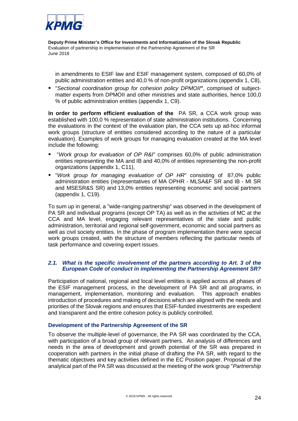

in amendments to ESIF law and ESIF management system, composed of 60,0% of public administration entities and 40,0 % of non-profit organizations (appendix 1, C8),

 "*Sectional coordination group for cohesion policy DPMOII***"**, comprised of subjectmatter experts from DPMOII and other ministries and state authorities, hence 100,0 % of public administration entities (appendix 1, C9).

**In order to perform efficient evaluation of the** PA SR, a CCA work group was established with 100,0 % representation of state administration institutions. Concerning the evaluations in the context of the evaluation plan, the CCA sets up ad-hoc informal work groups (structure of entities considered according to the nature of a particular evaluation). Examples of work groups for managing evaluation created at the MA level include the following:

- "*Work group for evaluation of OP R&I*" comprises 60,0% of public administration entities representing the MA and IB and 40,0% of entities representing the non-profit organizations (appendix 1, C11),
- "*Work group for managing evaluation of OP HR*" consisting of 87,0% public administration entities (representatives of MA OPHR - MLSA&F SR and IB - MI SR and MSESR&S SR) and 13,0% entities representing economic and social partners (appendix 1, C19).

To sum up in general, a "wide-ranging partnership" was observed in the development of PA SR and individual programs (except OP TA) as well as in the activities of MC at the CCA and MA level, engaging relevant representatives of the state and public administration, territorial and regional self-government, economic and social partners as well as civil society entities. In the phase of program implementation there were special work groups created, with the structure of members reflecting the particular needs of task performance and covering expert issues.

#### *2.1. What is the specific involvement of the partners according to Art. 3 of the European Code of conduct in implementing the Partnership Agreement SR?*

Participation of national, regional and local level entities is applied across all phases of the ESIF management process, in the development of PA SR and all programs, in management, implementation, monitoring and evaluation. This approach enables introduction of procedures and making of decisions which are aligned with the needs and priorities of the Slovak regions and ensures that ESIF-funded investments are expedient and transparent and the entire cohesion policy is publicly controlled.

#### **Development of the Partnership Agreement of the SR**

To observe the multiple-level of governance, the PA SR was coordinated by the CCA, with participation of a broad group of relevant partners. An analysis of differences and needs in the area of development and growth potential of the SR was prepared in cooperation with partners in the initial phase of drafting the PA SR, with regard to the thematic objectives and key activities defined in the EC Position paper. Proposal of the analytical part of the PA SR was discussed at the meeting of the work group "*Partnership*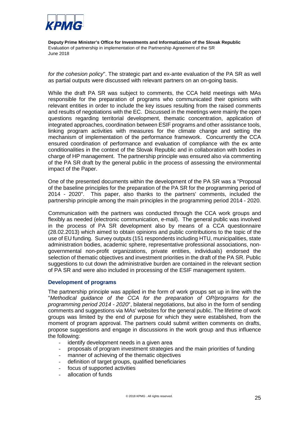

*for the cohesion policy*". The strategic part and ex-ante evaluation of the PA SR as well as partial outputs were discussed with relevant partners on an on-going basis.

While the draft PA SR was subject to comments, the CCA held meetings with MAs responsible for the preparation of programs who communicated their opinions with relevant entities in order to include the key issues resulting from the raised comments and results of negotiations with the EC. Discussed in the meetings were mainly the open questions regarding territorial development, thematic concentration, application of integrated approaches, coordination between ESIF programs and other assistance tools, linking program activities with measures for the climate change and setting the mechanism of implementation of the performance framework. Concurrently the CCA ensured coordination of performance and evaluation of compliance with the ex ante conditionalities in the context of the Slovak Republic and in collaboration with bodies in charge of HP management. The partnership principle was ensured also via commenting of the PA SR draft by the general public in the process of assessing the environmental impact of the Paper.

One of the presented documents within the development of the PA SR was a "Proposal of the baseline principles for the preparation of the PA SR for the programming period of 2014 - 2020". This paper, also thanks to the partners' comments, included the partnership principle among the main principles in the programming period 2014 - 2020.

Communication with the partners was conducted through the CCA work groups and flexibly as needed (electronic communication, e-mail). The general public was involved in the process of PA SR development also by means of a CCA questionnaire (28.02.2013) which aimed to obtain opinions and public contributions to the topic of the use of EU funding. Survey outputs (151 respondents including HTU, municipalities, state administration bodies, academic sphere, representative professional associations, nongovernmental non-profit organizations, private entities, individuals) endorsed the selection of thematic objectives and investment priorities in the draft of the PA SR. Public suggestions to cut down the administrative burden are contained in the relevant section of PA SR and were also included in processing of the ESIF management system.

#### **Development of programs**

The partnership principle was applied in the form of work groups set up in line with the "*Methodical guidance of the CCA for the preparation of OP/programs for the programming period 2014 - 2020*", bilateral negotiations, but also in the form of sending comments and suggestions via MAs' websites for the general public. The lifetime of work groups was limited by the end of purpose for which they were established, from the moment of program approval. The partners could submit written comments on drafts, propose suggestions and engage in discussions in the work group and thus influence the following:

- identify development needs in a given area
- proposals of program investment strategies and the main priorities of funding
- manner of achieving of the thematic objectives
- definition of target groups, qualified beneficiaries
- focus of supported activities
- allocation of funds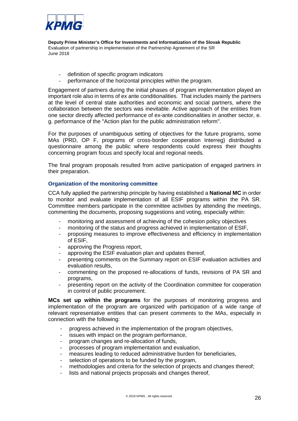

- definition of specific program indicators
- performance of the horizontal principles within the program.

Engagement of partners during the initial phases of program implementation played an important role also in terms of ex ante conditionalities. That includes mainly the partners at the level of central state authorities and economic and social partners, where the collaboration between the sectors was inevitable. Active approach of the entities from one sector directly affected performance of ex-ante conditionalities in another sector, e. g. performance of the "Action plan for the public administration reform".

For the purposes of unambiguous setting of objectives for the future programs, some MAs (PRD, OP F, programs of cross-border cooperation Interreg) distributed a questionnaire among the public where respondents could express their thoughts concerning program focus and specify local and regional needs.

The final program proposals resulted from active participation of engaged partners in their preparation.

#### **Organization of the monitoring committee**

CCA fully applied the partnership principle by having established a **National MC** in order to monitor and evaluate implementation of all ESIF programs within the PA SR. Committee members participate in the committee activities by attending the meetings, commenting the documents, proposing suggestions and voting, especially within:

- monitoring and assessment of achieving of the cohesion policy objectives
- monitoring of the status and progress achieved in implementation of ESIF,
- proposing measures to improve effectiveness and efficiency in implementation of ESIF,
- approving the Progress report,
- approving the ESIF evaluation plan and updates thereof,
- presenting comments on the Summary report on ESIF evaluation activities and evaluation results,
- commenting on the proposed re-allocations of funds, revisions of PA SR and programs,
- presenting report on the activity of the Coordination committee for cooperation in control of public procurement.

**MCs set up within the programs** for the purposes of monitoring progress and implementation of the program are organized with participation of a wide range of relevant representative entities that can present comments to the MAs, especially in connection with the following:

- progress achieved in the implementation of the program objectives,
- issues with impact on the program performance,
- program changes and re-allocation of funds,
- processes of program implementation and evaluation,
- measures leading to reduced administrative burden for beneficiaries,
- selection of operations to be funded by the program,
- methodologies and criteria for the selection of projects and changes thereof;
- lists and national projects proposals and changes thereof,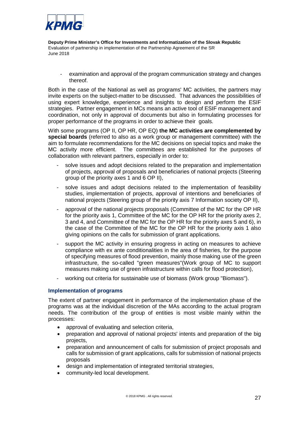

- examination and approval of the program communication strategy and changes thereof.

Both in the case of the National as well as programs' MC activities, the partners may invite experts on the subject-matter to be discussed. That advances the possibilities of using expert knowledge, experience and insights to design and perform the ESIF strategies. Partner engagement in MCs means an active tool of ESIF management and coordination, not only in approval of documents but also in formulating processes for proper performance of the programs in order to achieve their goals.

With some programs (OP II, OP HR, OP EQ) **the MC activities are complemented by special boards** (referred to also as a work group or management committee) with the aim to formulate recommendations for the MC decisions on special topics and make the MC activity more efficient. The committees are established for the purposes of collaboration with relevant partners, especially in order to:

- solve issues and adopt decisions related to the preparation and implementation of projects, approval of proposals and beneficiaries of national projects (Steering group of the priority axes 1 and 6 OP II),
- solve issues and adopt decisions related to the implementation of feasibility studies, implementation of projects, approval of intentions and beneficiaries of national projects (Steering group of the priority axis 7 Information society OP II),
- approval of the national projects proposals (Committee of the MC for the OP HR for the priority axis 1, Committee of the MC for the OP HR for the priority axes 2, 3 and 4, and Committee of the MC for the OP HR for the priority axes 5 and 6), in the case of the Committee of the MC for the OP HR for the priority axis 1 also giving opinions on the calls for submission of grant applications.
- support the MC activity in ensuring progress in acting on measures to achieve compliance with ex ante conditionalities in the area of fisheries, for the purpose of specifying measures of flood prevention, mainly those making use of the green infrastructure, the so-called "green measures"(Work group of MC to support measures making use of green infrastructure within calls for flood protection),
- working out criteria for sustainable use of biomass (Work group "Biomass").

#### **Implementation of programs**

The extent of partner engagement in performance of the implementation phase of the programs was at the individual discretion of the MAs according to the actual program needs. The contribution of the group of entities is most visible mainly within the processes:

- approval of evaluating and selection criteria,
- preparation and approval of national projects' intents and preparation of the big projects,
- preparation and announcement of calls for submission of project proposals and calls for submission of grant applications, calls for submission of national projects proposals
- design and implementation of integrated territorial strategies,
- community-led local development.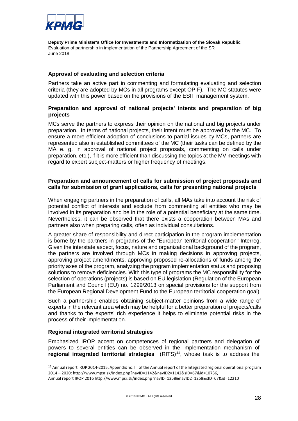

#### **Approval of evaluating and selection criteria**

Partners take an active part in commenting and formulating evaluating and selection criteria (they are adopted by MCs in all programs except OP F). The MC statutes were updated with this power based on the provisions of the ESIF management system.

#### **Preparation and approval of national projects' intents and preparation of big projects**

MCs serve the partners to express their opinion on the national and big projects under preparation. In terms of national projects, their intent must be approved by the MC. To ensure a more efficient adoption of conclusions to partial issues by MCs, partners are represented also in established committees of the MC (their tasks can be defined by the MA e. g. in approval of national project proposals, commenting on calls under preparation, etc.), if it is more efficient than discussing the topics at the MV meetings with regard to expert subject-matters or higher frequency of meetings.

#### **Preparation and announcement of calls for submission of project proposals and calls for submission of grant applications, calls for presenting national projects**

When engaging partners in the preparation of calls, all MAs take into account the risk of potential conflict of interests and exclude from commenting all entities who may be involved in its preparation and be in the role of a potential beneficiary at the same time. Nevertheless, it can be observed that there exists a cooperation between MAs and partners also when preparing calls, often as individual consultations.

A greater share of responsibility and direct participation in the program implementation is borne by the partners in programs of the "European territorial cooperation" Interreg. Given the interstate aspect, focus, nature and organizational background of the program, the partners are involved through MCs in making decisions in approving projects, approving project amendments, approving proposed re-allocations of funds among the priority axes of the program, analyzing the program implementation status and proposing solutions to remove deficiencies. With this type of programs the MC responsibility for the selection of operations (projects) is based on EU legislation (Regulation of the European Parliament and Council (EU) no. 1299/2013 on special provisions for the support from the European Regional Development Fund to the European territorial cooperation goal).

Such a partnership enables obtaining subject-matter opinions from a wide range of experts in the relevant area which may be helpful for a better preparation of projects/calls and thanks to the experts' rich experience it helps to eliminate potential risks in the process of their implementation.

#### **Regional integrated territorial strategies**

Emphasized IROP accent on competences of regional partners and delegation of powers to several entities can be observed in the implementation mechanism of **regional integrated territorial strategies** (RITS)**[11](#page-28-0)**, whose task is to address the

<span id="page-28-0"></span><sup>&</sup>lt;sup>11</sup> Annual report IROP 2014-2015, Appendix no. III of the Annual report of the Integrated regional operational program 2014 – 2020: [http://www.mpsr.sk/index.php?navID=1142&navID2=1142&sID=67&id=10736,](http://www.mpsr.sk/index.php?navID=1142&navID2=1142&sID=67&id=10736)

Annual report IROP 2016 <http://www.mpsr.sk/index.php?navID=1258&navID2=1258&sID=67&id=12210>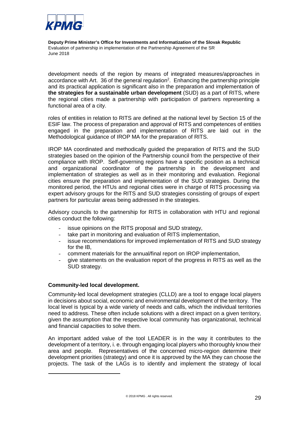

development needs of the region by means of integrated measures/approaches in accordance with Art. 36 of the general regulation<sup>2</sup>. Enhancing the partnership principle and its practical application is significant also in the preparation and implementation of **the strategies for a sustainable urban development** (SUD) as a part of RITS, where the regional cities made a partnership with participation of partners representing a functional area of a city.

roles of entities in relation to RITS are defined at the national level by Section 15 of the ESIF law. The process of preparation and approval of RITS and competences of entities engaged in the preparation and implementation of RITS are laid out in the Methodological guidance of IROP MA for the preparation of RITS.

IROP MA coordinated and methodically guided the preparation of RITS and the SUD strategies based on the opinion of the Partnership council from the perspective of their compliance with IROP. Self-governing regions have a specific position as a technical and organizational coordinator of the partnership in the development and implementation of strategies as well as in their monitoring and evaluation. Regional cities ensure the preparation and implementation of the SUD strategies. During the monitored period, the HTUs and regional cities were in charge of RITS processing via expert advisory groups for the RITS and SUD strategies consisting of groups of expert partners for particular areas being addressed in the strategies.

Advisory councils to the partnership for RITS in collaboration with HTU and regional cities conduct the following:

- issue opinions on the RITS proposal and SUD strategy,
- take part in monitoring and evaluation of RITS implementation,
- issue recommendations for improved implementation of RITS and SUD strategy for the IB,
- comment materials for the annual/final report on IROP implementation,
- give statements on the evaluation report of the progress in RITS as well as the SUD strategy.

#### **Community-led local development.**

-

Community-led local development strategies (CLLD) are a tool to engage local players in decisions about social, economic and environmental development of the territory. The local level is typical by a wide variety of needs and calls, which the individual territories need to address. These often include solutions with a direct impact on a given territory, given the assumption that the respective local community has organizational, technical and financial capacities to solve them.

An important added value of the tool LEADER is in the way it contributes to the development of a territory, i. e. through engaging local players who thoroughly know their area and people. Representatives of the concerned micro-region determine their development priorities (strategy) and once it is approved by the MA they can choose the projects. The task of the LAGs is to identify and implement the strategy of local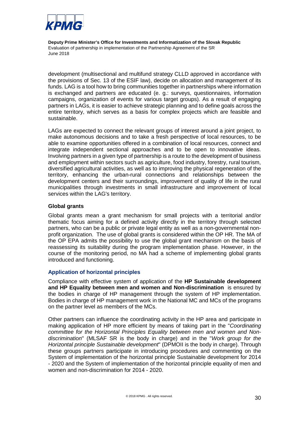

development (multisectional and multifund strategy CLLD approved in accordance with the provisions of Sec. 13 of the ESIF law), decide on allocation and management of its funds. LAG is a tool how to bring communities together in partnerships where information is exchanged and partners are educated (e. g.: surveys, questionnaires, information campaigns, organization of events for various target groups). As a result of engaging partners in LAGs, it is easier to achieve strategic planning and to define goals across the entire territory, which serves as a basis for complex projects which are feasible and sustainable.

LAGs are expected to connect the relevant groups of interest around a joint project, to make autonomous decisions and to take a fresh perspective of local resources, to be able to examine opportunities offered in a combination of local resources, connect and integrate independent sectional approaches and to be open to innovative ideas. Involving partners in a given type of partnership is a route to the development of business and employment within sectors such as agriculture, food industry, forestry, rural tourism, diversified agricultural activities, as well as to improving the physical regeneration of the territory, enhancing the urban-rural connections and relationships between the development centers and their surroundings, improvement of quality of life in the rural municipalities through investments in small infrastructure and improvement of local services within the LAG's territory.

#### **Global grants**

Global grants mean a grant mechanism for small projects with a territorial and/or thematic focus aiming for a defined activity directly in the territory through selected partners, who can be a public or private legal entity as well as a non-governmental nonprofit organization. The use of global grants is considered within the OP HR. The MA of the OP EPA admits the possibility to use the global grant mechanism on the basis of reassessing its suitability during the program implementation phase. However, in the course of the monitoring period, no MA had a scheme of implementing global grants introduced and functioning.

#### **Application of horizontal principles**

Compliance with effective system of application of the **HP Sustainable development and HP Equality between men and women and Non-discrimination** is ensured by the bodies in charge of HP management through the system of HP implementation. Bodies in charge of HP management work in the National MC and MCs of the programs on the partner level as members of the MCs.

Other partners can influence the coordinating activity in the HP area and participate in making application of HP more efficient by means of taking part in the "*Coordinating committee for the Horizontal Principles Equality between men and women and Nondiscrimination*" (MLSAF SR is the body in charge) and in the "*Work group for the Horizontal principle Sustainable development*" (DPMOII is the body in charge). Through these groups partners participate in introducing procedures and commenting on the System of implementation of the horizontal principle Sustainable development for 2014 - 2020 and the System of implementation of the horizontal principle equality of men and women and non-discrimination for 2014 - 2020.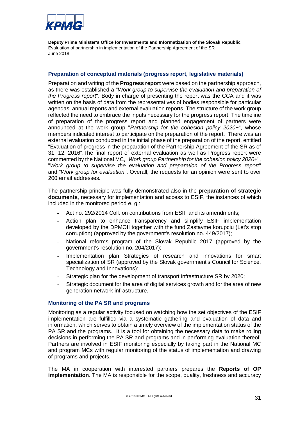

#### **Preparation of conceptual materials (progress report, legislative materials)**

Preparation and writing of the **Progress report** were based on the partnership approach, as there was established a "*Work group to supervise the evaluation and preparation of the Progress report*". Body in charge of presenting the report was the CCA and it was written on the basis of data from the representatives of bodies responsible for particular agendas, annual reports and external evaluation reports. The structure of the work group reflected the need to embrace the inputs necessary for the progress report. The timeline of preparation of the progress report and planned engagement of partners were announced at the work group "*Partnership for the cohesion policy 2020+*", whose members indicated interest to participate on the preparation of the report. There was an external evaluation conducted in the initial phase of the preparation of the report, entitled "Evaluation of progress in the preparation of the Partnership Agreement of the SR as of 31. 12. 2016".The final report of external evaluation as well as Progress report were commented by the National MC, "*Work group Partnership for the cohesion policy 2020+*", "*Work group to supervise the evaluation and preparation of the Progress report*" and "*Work group for evaluation*". Overall, the requests for an opinion were sent to over 200 email addresses.

The partnership principle was fully demonstrated also in the **preparation of strategic documents**, necessary for implementation and access to ESIF, the instances of which included in the monitored period e. g.:

- Act no. 292/2014 Coll. on contributions from ESIF and its amendments;
- Action plan to enhance transparency and simplify ESIF implementation developed by the DPMOII together with the fund Zastavme korupciu (Let's stop corruption) (approved by the government's resolution no. 449/2017);
- National reforms program of the Slovak Republic 2017 (approved by the government's resolution no. 204/2017);
- Implementation plan Strategies of research and innovations for smart specialization of SR (approved by the Slovak government's Council for Science, Technology and Innovations);
- Strategic plan for the development of transport infrastructure SR by 2020;
- Strategic document for the area of digital services growth and for the area of new generation network infrastructure.

#### **Monitoring of the PA SR and programs**

Monitoring as a regular activity focused on watching how the set objectives of the ESIF implementation are fulfilled via a systematic gathering and evaluation of data and information, which serves to obtain a timely overview of the implementation status of the PA SR and the programs. It is a tool for obtaining the necessary data to make rolling decisions in performing the PA SR and programs and in performing evaluation thereof. Partners are involved in ESIF monitoring especially by taking part in the National MC and program MCs with regular monitoring of the status of implementation and drawing of programs and projects.

The MA in cooperation with interested partners prepares the **Reports of OP implementation**. The MA is responsible for the scope, quality, freshness and accuracy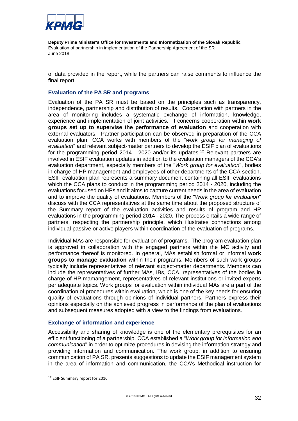

of data provided in the report, while the partners can raise comments to influence the final report.

#### **Evaluation of the PA SR and programs**

Evaluation of the PA SR must be based on the principles such as transparency, independence, partnership and distribution of results. Cooperation with partners in the area of monitoring includes a systematic exchange of information, knowledge, experience and implementation of joint activities. It concerns cooperation within **work groups set up to supervise the performance of evaluation** and cooperation with external evaluators. Partner participation can be observed in preparation of the CCA evaluation plan. CCA works with members of the "*work group for managing of evaluation*" and relevant subject-matter partners to develop the ESIF plan of evaluations for the programming period 2014 - 2020 and/or its updates.<sup>[12](#page-32-0)</sup> Relevant partners are involved in ESIF evaluation updates in addition to the evaluation managers of the CCA's evaluation department, especially members of the "*Work group for evaluation*", bodies in charge of HP management and employees of other departments of the CCA section. ESIF evaluation plan represents a summary document containing all ESIF evaluations which the CCA plans to conduct in the programming period 2014 - 2020, including the evaluations focused on HPs and it aims to capture current needs in the area of evaluation and to improve the quality of evaluations. Members of the "*Work group for evaluation*" discuss with the CCA representatives at the same time about the proposed structure of the Summary report of the evaluation activities and results of program and HP evaluations in the programming period 2014 - 2020. The process entails a wide range of partners, respecting the partnership principle, which illustrates connections among individual passive or active players within coordination of the evaluation of programs.

Individual MAs are responsible for evaluation of programs. The program evaluation plan is approved in collaboration with the engaged partners within the MC activity and performance thereof is monitored. In general, MAs establish formal or informal **work groups to manage evaluation** within their programs. Members of such work groups typically include representatives of relevant subject-matter departments. Members can include the representatives of further MAs, IBs, CCA, representatives of the bodies in charge of HP mamangement, representatives of relevant institutions or invited experts per adequate topics. Work groups for evaluation within individual MAs are a part of the coordination of procedures within evaluation, which is one of the key needs for ensuring quality of evaluations through opinions of individual partners. Partners express their opinions especially on the achieved progress in performance of the plan of evaluations and subsequent measures adopted with a view to the findings from evaluations.

#### **Exchange of information and experience**

Accessibility and sharing of knowledge is one of the elementary prerequisites for an efficient functioning of a partnership. CCA established a "*Work group for information and communication*" in order to optimize procedures in devising the information strategy and providing information and communication. The work group, in addition to ensuring communication of PA SR, presents suggestions to update the ESIF management system in the area of information and communication, the CCA's Methodical instruction for

<span id="page-32-0"></span><sup>12</sup> ESIF Summary report for 2016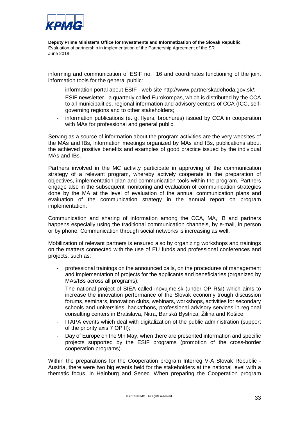

informing and communication of ESIF no. 16 and coordinates functioning of the joint information tools for the general public:

- information portal about ESIF web site http://www.partnerskadohoda.gov.sk/;
- ESIF newsletter a quarterly called Eurokompas, which is distributed by the CCA to all municipalities, regional information and advisory centers of CCA (ICC, selfgoverning regions and to other stakeholders;
- information publications (e. g. flyers, brochures) issued by CCA in cooperation with MAs for professional and general public.

Serving as a source of information about the program activities are the very websites of the MAs and IBs, information meetings organized by MAs and IBs, publications about the achieved positive benefits and examples of good practice issued by the individual MAs and IBs.

Partners involved in the MC activity participate in approving of the communication strategy of a relevant program, whereby actively cooperate in the preparation of objectives, implementation plan and communication tools within the program. Partners engage also in the subsequent monitoring and evaluation of communication strategies done by the MA at the level of evaluation of the annual communication plans and evaluation of the communication strategy in the annual report on program implementation.

Communication and sharing of information among the CCA, MA, IB and partners happens especially using the traditional communication channels, by e-mail, in person or by phone. Communication through social networks is increasing as well.

Mobilization of relevant partners is ensured also by organizing workshops and trainings on the matters connected with the use of EU funds and professional conferences and projects, such as:

- professional trainings on the announced calls, on the procedures of management and implementation of projects for the applicants and beneficiaries (organized by MAs/IBs across all programs);
- The national project of SIEA called inovujme.sk (under OP R&I) which aims to increase the innovation performance of the Slovak economy trough discussion forums, seminars, innovation clubs, webinars, workshops, activities for secondary schools and universities, hackathons, professional advisory services in regional consulting centers in Bratislava, Nitra, Banská Bystrica, Žilina and Košice;
- ITAPA events which deal with digitalization of the public administration (support of the priority axis 7 OP II);
- Day of Europe on the 9th May, when there are presented information and specific projects supported by the ESIF programs (promotion of the cross-border cooperation programs).

Within the preparations for the Cooperation program Interreg V-A Slovak Republic - Austria, there were two big events held for the stakeholders at the national level with a thematic focus, in Hainburg and Senec. When preparing the Cooperation program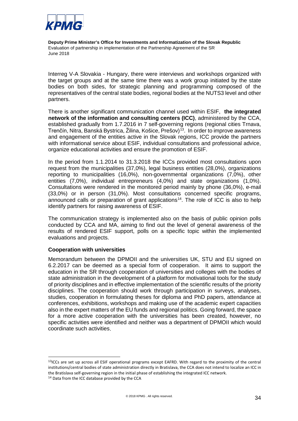

Interreg V-A Slovakia - Hungary, there were interviews and workshops organized with the target groups and at the same time there was a work group initiated by the state bodies on both sides, for strategic planning and programming composed of the representatives of the central state bodies, regional bodies at the NUTS3 level and other partners.

There is another significant communication channel used within ESIF, **the integrated network of the information and consulting centers (ICC)**, administered by the CCA, established gradually from 1.7.2016 in 7 self-governing regions (regional cities Trnava, Trenčín, Nitra, Banská Bystrica, Žilina, Košice, Prešov)<sup>13</sup>. In order to improve awareness and engagement of the entities active in the Slovak regions, ICC provide the partners with informational service about ESIF, individual consultations and professional advice, organize educational activities and ensure the promotion of ESIF.

In the period from 1.1.2014 to 31.3.2018 the ICCs provided most consultations upon request from the municipalities (37,0%), legal business entities (28,0%), organizations reporting to municipalities (16,0%), non-governmental organizations (7,0%), other entities (7,0%), individual entrepreneurs (4,0%) and state organizations (1,0%). Consultations were rendered in the monitored period mainly by phone (36,0%), e-mail (33,0%) or in person (31,0%). Most consultations concerned specific programs, announced calls or preparation of grant applications<sup>14</sup>. The role of ICC is also to help identify partners for raising awareness of ESIF.

The communication strategy is implemented also on the basis of public opinion polls conducted by CCA and MA, aiming to find out the level of general awareness of the results of rendered ESIF support, polls on a specific topic within the implemented evaluations and projects.

#### **Cooperation with universities**

Memorandum between the DPMOII and the universities UK, STU and EU signed on 6.2.2017 can be deemed as a special form of cooperation. It aims to support the education in the SR through cooperation of universities and colleges with the bodies of state administration in the development of a platform for motivational tools for the study of priority disciplines and in effective implementation of the scientific results of the priority disciplines. The cooperation should work through participation in surveys, analyses, studies, cooperation in formulating theses for diploma and PhD papers, attendance at conferences, exhibitions, workshops and making use of the academic expert capacities also in the expert matters of the EU funds and regional politics. Going forward, the space for a more active cooperation with the universities has been created, however, no specific activities were identified and neither was a department of DPMOII which would coordinate such activities.

<span id="page-34-0"></span><sup>&</sup>lt;sup>13</sup>ICCs are set up across all ESIF operational programs except EAFRD. With regard to the proximity of the central institutions/central bodies of state administration directly in Bratislava, the CCA does not intend to localize an ICC in the Bratislava self-governing region in the initial phase of establishing the integrated ICC network.

<span id="page-34-1"></span><sup>&</sup>lt;sup>14</sup> Data from the ICC database provided by the CCA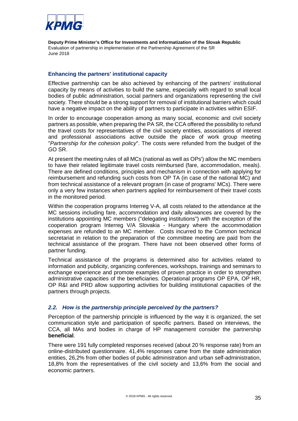

#### **Enhancing the partners' institutional capacity**

Effective partnership can be also achieved by enhancing of the partners' institutional capacity by means of activities to build the same, especially with regard to small local bodies of public administration, social partners and organizations representing the civil society. There should be a strong support for removal of institutional barriers which could have a negative impact on the ability of partners to participate in activities within ESIF.

In order to encourage cooperation among as many social, economic and civil society partners as possible, when preparing the PA SR, the CCA offered the possibility to refund the travel costs for representatives of the civil society entities, associations of interest and professional associations active outside the place of work group meeting "*Partnership for the cohesion policy*". The costs were refunded from the budget of the GO SR.

At present the meeting rules of all MCs (national as well as OPs') allow the MC members to have their related legitimate travel costs reimbursed (fare, accommodation, meals). There are defined conditions, principles and mechanism in connection with applying for reimbursement and refunding such costs from OP TA (in case of the national MC) and from technical assistance of a relevant program (in case of programs' MCs). There were only a very few instances when partners applied for reimbursement of their travel costs in the monitored period.

Within the cooperation programs Interreg V-A, all costs related to the attendance at the MC sessions including fare, accommodation and daily allowances are covered by the institutions appointing MC members ("delegating institutions") with the exception of the cooperation program Interreg V/A Slovakia - Hungary where the accommodation expenses are refunded to an MC member. Costs incurred to the Common technical secretariat in relation to the preparation of the committee meeting are paid from the technical assistance of the program. There have not been observed other forms of partner funding.

Technical assistance of the programs is determined also for activities related to information and publicity, organizing conferences, workshops, trainings and seminars to exchange experience and promote examples of proven practice in order to strengthen administrative capacities of the beneficiaries. Operational programs OP EPA, OP HR, OP R&I and PRD allow supporting activities for building institutional capacities of the partners through projects.

#### *2.2. How is the partnership principle perceived by the partners?*

Perception of the partnership principle is influenced by the way it is organized, the set communication style and participation of specific partners. Based on interviews, the CCA, all MAs and bodies in charge of HP management consider the partnership **beneficial**.

There were 191 fully completed responses received (about 20 % response rate) from an online-distributed questionnaire. 41,4% responses came from the state administration entities, 26,2% from other bodies of public administration and urban self-administration, 18,8% from the representatives of the civil society and 13,6% from the social and economic partners.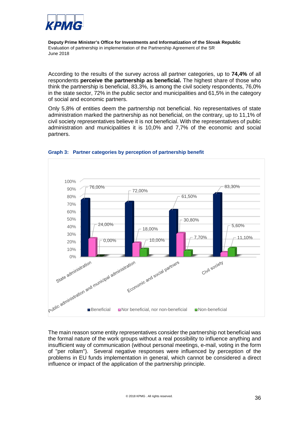

According to the results of the survey across all partner categories, up to **74,4%** of all respondents **perceive the partnership as beneficial.** The highest share of those who think the partnership is beneficial, 83,3%, is among the civil society respondents, 76,0% in the state sector, 72% in the public sector and municipalities and 61,5% in the category of social and economic partners.

Only 5,8% of entities deem the partnership not beneficial. No representatives of state administration marked the partnership as not beneficial, on the contrary, up to 11,1% of civil society representatives believe it is not beneficial. With the representatives of public administration and municipalities it is 10,0% and 7,7% of the economic and social partners.



#### <span id="page-36-0"></span>**Graph 3: Partner categories by perception of partnership benefit**

The main reason some entity representatives consider the partnership not beneficial was the formal nature of the work groups without a real possibility to influence anything and insufficient way of communication (without personal meetings, e-mail, voting in the form of "per rollam"). Several negative responses were influenced by perception of the problems in EU funds implementation in general, which cannot be considered a direct influence or impact of the application of the partnership principle.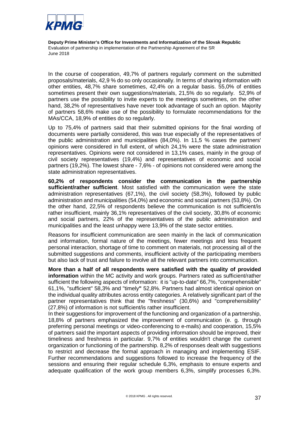

In the course of cooperation, 49,7% of partners regularly comment on the submitted proposals/materials, 42,9 % do so only occasionally. In terms of sharing information with other entities, 48,7% share sometimes, 42,4% on a regular basis. 55,0% of entities sometimes present their own suggestions/materials, 21,5% do so regularly. 52,9% of partners use the possibility to invite experts to the meetings sometimes, on the other hand, 38,2% of representatives have never took advantage of such an option. Majority of partners 58,6% make use of the possibility to formulate recommendations for the MAs/CCA, 18,9% of entities do so regularly.

Up to 75,4% of partners said that their submitted opinions for the final wording of documents were partially considered, this was true especially of the representatives of the public administration and municipalities (84,0%). In 11,5 % cases the partners' opinions were considered in full extent, of which 24,1% were the state administration representatives. Opinions were not considered in 13,1% cases, mainly in the group of civil society representatives (19,4%) and representatives of economic and social partners (19,2%). The lowest share - 7,6% - of opinions not considered were among the state administration representatives.

**60,2% of respondents consider the communication in the partnership sufficient/rather sufficient**. Most satisfied with the communication were the state administration representatives (67,1%), the civil society (58,3%), followed by public administration and municipalities (54,0%) and economic and social partners (53,8%). On the other hand, 22,5% of respondents believe the communication is not sufficient/is rather insufficient, mainly 36,1% representatives of the civil society, 30,8% of economic and social partners, 22% of the representatives of the public administration and municipalities and the least unhappy were 13,9% of the state sector entities.

Reasons for insufficient communication are seen mainly in the lack of communication and information, formal nature of the meetings, fewer meetings and less frequent personal interaction, shortage of time to comment on materials, not processing all of the submitted suggestions and comments, insufficient activity of the participating members but also lack of trust and failure to involve all the relevant partners into communication.

**More than a half of all respondents were satisfied with the quality of provided information** within the MC activity and work groups. Partners rated as sufficient/rather sufficient the following aspects of information: it is "up-to-date" 66,7%, "comprehensible" 61,1%, "sufficient" 58,3% and "timely**"** 52,8%. Partners had almost identical opinion on the individual quality attributes across entity categories. A relatively significant part of the partner representatives think that the "freshness" (30,6%) and "comprehensibility" (27,8%) of information is not sufficient/is rather insufficient.

In their suggestions for improvement of the functioning and organization of a partnership, 18,8% of partners emphasized the improvement of communication (e. g. through preferring personal meetings or video-conferencing to e-mails) and cooperation, 15,5% of partners said the important aspects of providing information should be improved, their timeliness and freshness in particular. 9,7% of entities wouldn't change the current organization or functioning of the partnership. 8,2% of responses dealt with suggestions to restrict and decrease the formal approach in managing and implementing ESIF. Further recommendations and suggestions followed to increase the frequency of the sessions and ensuring their regular schedule 6,3%, emphasis to ensure experts and adequate qualification of the work group members 6,3%, simplify processes 6,3%.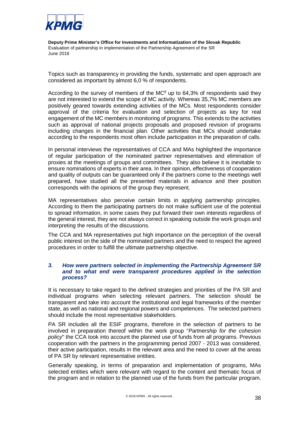

Topics such as transparency in providing the funds, systematic and open approach are considered as important by almost 6,0 % of respondents.

According to the survey of members of the  $MC^8$  up to 64,3% of respondents said they are not interested to extend the scope of MC activity. Whereas 35,7% MC members are positively geared towards extending activities of the MCs. Most respondents consider approval of the criteria for evaluation and selection of projects as key for real engagement of the MC members in monitoring of programs. This extends to the activities such as approval of national projects proposals and proposed revision of programs including changes in the financial plan. Other activities that MCs should undertake according to the respondents most often include participation in the preparation of calls.

In personal interviews the representatives of CCA and MAs highlighted the importance of regular participation of the nominated partner representatives and elimination of proxies at the meetings of groups and committees. They also believe it is inevitable to ensure nominations of experts in their area. In their opinion, effectiveness of cooperation and quality of outputs can be guaranteed only if the partners come to the meetings well prepared, have studied all the presented materials in advance and their position corresponds with the opinions of the group they represent.

MA representatives also perceive certain limits in applying partnership principles. According to them the participating partners do not make sufficient use of the potential to spread information, in some cases they put forward their own interests regardless of the general interest, they are not always correct in speaking outside the work groups and interpreting the results of the discussions.

The CCA and MA representatives put high importance on the perception of the overall public interest on the side of the nominated partners and the need to respect the agreed procedures in order to fulfill the ultimate partnership objective.

#### *3. How were partners selected in implementing the Partnership Agreement SR and to what end were transparent procedures applied in the selection process?*

It is necessary to take regard to the defined strategies and priorities of the PA SR and individual programs when selecting relevant partners. The selection should be transparent and take into account the institutional and legal frameworks of the member state, as well as national and regional powers and competences. The selected partners should include the most representative stakeholders.

PA SR includes all the ESIF programs, therefore in the selection of partners to be involved in preparation thereof within the work group "*Partnership for the cohesion policy*" the CCA took into account the planned use of funds from all programs. Previous cooperation with the partners in the programming period 2007 - 2013 was considered, their active participation, results in the relevant area and the need to cover all the areas of PA SR by relevant representative entities.

Generally speaking, in terms of preparation and implementation of programs, MAs selected entities which were relevant with regard to the content and thematic focus of the program and in relation to the planned use of the funds from the particular program.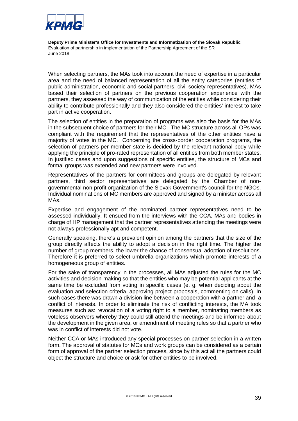

When selecting partners, the MAs took into account the need of expertise in a particular area and the need of balanced representation of all the entity categories (entities of public administration, economic and social partners, civil society representatives). MAs based their selection of partners on the previous cooperation experience with the partners, they assessed the way of communication of the entities while considering their ability to contribute professionally and they also considered the entities' interest to take part in active cooperation.

The selection of entities in the preparation of programs was also the basis for the MAs in the subsequent choice of partners for their MC. The MC structure across all OPs was compliant with the requirement that the representatives of the other entities have a majority of votes in the MC. Concerning the cross-border cooperation programs, the selection of partners per member state is decided by the relevant national body while applying the principle of pro-rated representation of all entities from both member states. In justified cases and upon suggestions of specific entities, the structure of MCs and formal groups was extended and new partners were involved.

Representatives of the partners for committees and groups are delegated by relevant partners, third sector representatives are delegated by the Chamber of nongovernmental non-profit organization of the Slovak Government's council for the NGOs. Individual nominations of MC members are approved and signed by a minister across all MAs.

Expertise and engagement of the nominated partner representatives need to be assessed individually. It ensued from the interviews with the CCA, MAs and bodies in charge of HP management that the partner representatives attending the meetings were not always professionally apt and competent.

Generally speaking, there's a prevalent opinion among the partners that the size of the group directly affects the ability to adopt a decision in the right time. The higher the number of group members, the lower the chance of consensual adoption of resolutions. Therefore it is preferred to select umbrella organizations which promote interests of a homogeneous group of entities.

For the sake of transparency in the processes, all MAs adjusted the rules for the MC activities and decision-making so that the entities who may be potential applicants at the same time be excluded from voting in specific cases (e. g. when deciding about the evaluation and selection criteria, approving project proposals, commenting on calls). In such cases there was drawn a division line between a cooperation with a partner and a conflict of interests. In order to eliminate the risk of conflicting interests, the MA took measures such as: revocation of a voting right to a member, nominating members as voteless observers whereby they could still attend the meetings and be informed about the development in the given area, or amendment of meeting rules so that a partner who was in conflict of interests did not vote.

Neither CCA or MAs introduced any special processes on partner selection in a written form. The approval of statutes for MCs and work groups can be considered as a certain form of approval of the partner selection process, since by this act all the partners could object the structure and choice or ask for other entities to be involved.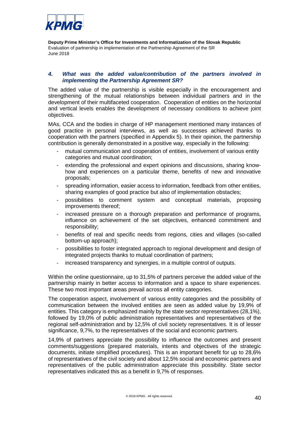

#### *4. What was the added value/contribution of the partners involved in implementing the Partnership Agreement SR?*

The added value of the partnership is visible especially in the encouragement and strengthening of the mutual relationships between individual partners and in the development of their multifaceted cooperation. Cooperation of entities on the horizontal and vertical levels enables the development of necessary conditions to achieve joint objectives.

MAs, CCA and the bodies in charge of HP management mentioned many instances of good practice in personal interviews, as well as successes achieved thanks to cooperation with the partners (specified in Appendix 5). In their opinion, the partnership contribution is generally demonstrated in a positive way, especially in the following:

- mutual communication and cooperation of entities, involvement of various entity categories and mutual coordination;
- extending the professional and expert opinions and discussions, sharing knowhow and experiences on a particular theme, benefits of new and innovative proposals;
- spreading information, easier access to information, feedback from other entities, sharing examples of good practice but also of implementation obstacles;
- possibilities to comment system and conceptual materials, proposing improvements thereof;
- increased pressure on a thorough preparation and performance of programs, influence on achievement of the set objectives, enhanced commitment and responsibility;
- benefits of real and specific needs from regions, cities and villages (so-called bottom-up approach);
- possibilities to foster integrated approach to regional development and design of integrated projects thanks to mutual coordination of partners;
- increased transparency and synergies, in a multiple control of outputs.

Within the online questionnaire, up to 31,5% of partners perceive the added value of the partnership mainly in better access to information and a space to share experiences. These two most important areas prevail across all entity categories.

The cooperation aspect, involvement of various entity categories and the possibility of communication between the involved entities are seen as added value by 19,9% of entities. This category is emphasized mainly by the state sector representatives (28,1%), followed by 19,0% of public administration representatives and representatives of the regional self-administration and by 12,5% of civil society representatives. It is of lesser significance, 9,7%, to the representatives of the social and economic partners.

14,9% of partners appreciate the possibility to influence the outcomes and present comments/suggestions (prepared materials, intents and objectives of the strategic documents, initiate simplified procedures). This is an important benefit for up to 28,6% of representatives of the civil society and about 12,5% social and economic partners and representatives of the public administration appreciate this possibility. State sector representatives indicated this as a benefit in 9,7% of responses.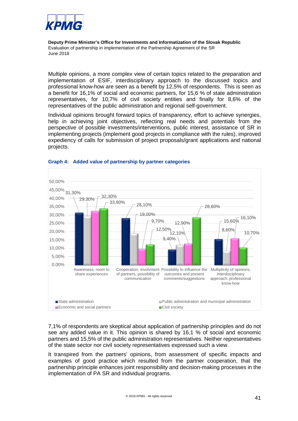

Multiple opinions, a more complex view of certain topics related to the preparation and implementation of ESIF, interdisciplinary approach to the discussed topics and professional know-how are seen as a benefit by 12,5% of respondents. This is seen as a benefit for 16,1% of social and economic partners, for 15,6 % of state administration representatives, for 10,7% of civil society entities and finally for 8,6% of the representatives of the public administration and regional self-government.

Individual opinions brought forward topics of transparency, effort to achieve synergies, help in achieving joint objectives, reflecting real needs and potentials from the perspective of possible investments/interventions, public interest, assistance of SR in implementing projects (implement good projects in compliance with the rules), improved expediency of calls for submission of project proposals/grant applications and national projects.



#### <span id="page-41-0"></span>**Graph 4: Added value of partnership by partner categories**

7,1% of respondents are skeptical about application of partnership principles and do not see any added value in it. This opinion is shared by 16,1 % of social and economic partners and 15,5% of the public administration representatives. Neither representatives of the state sector nor civil society representatives expressed such a view.

It transpired from the partners' opinions, from assessment of specific impacts and examples of good practice which resulted from the partner cooperation, that the partnership principle enhances joint responsibility and decision-making processes in the implementation of PA SR and individual programs.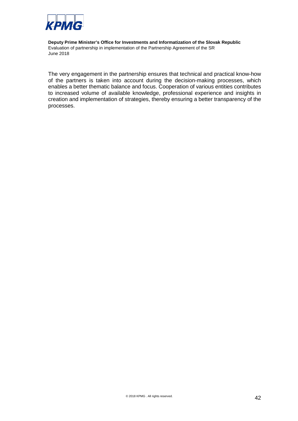

The very engagement in the partnership ensures that technical and practical know-how of the partners is taken into account during the decision-making processes, which enables a better thematic balance and focus. Cooperation of various entities contributes to increased volume of available knowledge, professional experience and insights in creation and implementation of strategies, thereby ensuring a better transparency of the processes.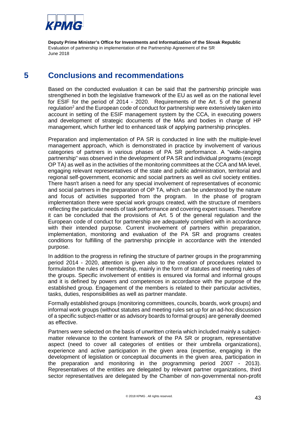

## **5 Conclusions and recommendations**

Based on the conducted evaluation it can be said that the partnership principle was strengthened in both the legislative framework of the EU as well as on the national level for ESIF for the period of 2014 - 2020. Requirements of the Art. 5 of the general regulation<sup>2</sup> and the European code of conduct for partnership were extensively taken into account in setting of the ESIF management system by the CCA, in executing powers and development of strategic documents of the MAs and bodies in charge of HP management, which further led to enhanced task of applying partnership principles.

Preparation and implementation of PA SR is conducted in line with the multiple-level management approach, which is demonstrated in practice by involvement of various categories of partners in various phases of PA SR performance. A "wide-ranging partnership" was observed in the development of PA SR and individual programs (except OP TA) as well as in the activities of the monitoring committees at the CCA and MA level, engaging relevant representatives of the state and public administration, territorial and regional self-government, economic and social partners as well as civil society entities. There hasn't arisen a need for any special involvement of representatives of economic and social partners in the preparation of OP TA, which can be understood by the nature and focus of activities supported from the program. In the phase of program implementation there were special work groups created, with the structure of members reflecting the particular needs of task performance and covering expert issues. Therefore it can be concluded that the provisions of Art. 5 of the general regulation and the European code of conduct for partnership are adequately complied with in accordance with their intended purpose. Current involvement of partners within preparation, implementation, monitoring and evaluation of the PA SR and programs creates conditions for fulfilling of the partnership principle in accordance with the intended purpose.

In addition to the progress in refining the structure of partner groups in the programming period 2014 - 2020, attention is given also to the creation of procedures related to formulation the rules of membership, mainly in the form of statutes and meeting rules of the groups. Specific involvement of entities is ensured via formal and informal groups and it is defined by powers and competences in accordance with the purpose of the established group. Engagement of the members is related to their particular activities, tasks, duties, responsibilities as well as partner mandate.

Formally established groups (monitoring committees, councils, boards, work groups) and informal work groups (without statutes and meeting rules set up for an ad-hoc discussion of a specific subject-matter or as advisory boards to formal groups) are generally deemed as effective.

Partners were selected on the basis of unwritten criteria which included mainly a subjectmatter relevance to the content framework of the PA SR or program, representative aspect (need to cover all categories of entities or their umbrella organizations), experience and active participation in the given area (expertise, engaging in the development of legislation or conceptual documents in the given area, participation in the preparation and monitoring in the programming period 2007 - 2013). Representatives of the entities are delegated by relevant partner organizations, third sector representatives are delegated by the Chamber of non-governmental non-profit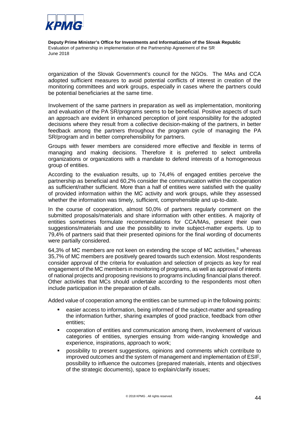

organization of the Slovak Government's council for the NGOs. The MAs and CCA adopted sufficient measures to avoid potential conflicts of interest in creation of the monitoring committees and work groups, especially in cases where the partners could be potential beneficiaries at the same time.

Involvement of the same partners in preparation as well as implementation, monitoring and evaluation of the PA SR/programs seems to be beneficial. Positive aspects of such an approach are evident in enhanced perception of joint responsibility for the adopted decisions where they result from a collective decision-making of the partners, in better feedback among the partners throughout the program cycle of managing the PA SR/program and in better comprehensibility for partners.

Groups with fewer members are considered more effective and flexible in terms of managing and making decisions. Therefore it is preferred to select umbrella organizations or organizations with a mandate to defend interests of a homogeneous group of entities.

According to the evaluation results, up to 74,4% of engaged entities perceive the partnership as beneficial and 60,2% consider the communication within the cooperation as sufficient/rather sufficient. More than a half of entities were satisfied with the quality of provided information within the MC activity and work groups, while they assessed whether the information was timely, sufficient, comprehensible and up-to-date.

In the course of cooperation, almost 50,0% of partners regularly comment on the submitted proposals/materials and share information with other entities. A majority of entities sometimes formulate recommendations for CCA/MAs, present their own suggestions/materials and use the possibility to invite subject-matter experts. Up to 79,4% of partners said that their presented opinions for the final wording of documents were partially considered.

64,3% of MC members are not keen on extending the scope of MC activities, $8$  whereas 35,7% of MC members are positively geared towards such extension. Most respondents consider approval of the criteria for evaluation and selection of projects as key for real engagement of the MC members in monitoring of programs, as well as approval of intents of national projects and proposing revisions to programs including financial plans thereof. Other activities that MCs should undertake according to the respondents most often include participation in the preparation of calls.

Added value of cooperation among the entities can be summed up in the following points:

- easier access to information, being informed of the subject-matter and spreading the information further, sharing examples of good practice, feedback from other entities;
- cooperation of entities and communication among them, involvement of various categories of entities, synergies ensuing from wide-ranging knowledge and experience, inspirations, approach to work;
- possibility to present suggestions, opinions and comments which contribute to improved outcomes and the system of management and implementation of ESIF, possibility to influence the outcomes (prepared materials, intents and objectives of the strategic documents), space to explain/clarify issues;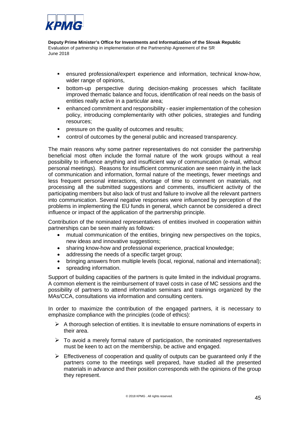

- ensured professional/expert experience and information, technical know-how, wider range of opinions,
- bottom-up perspective during decision-making processes which facilitate improved thematic balance and focus, identification of real needs on the basis of entities really active in a particular area;
- enhanced commitment and responsibility easier implementation of the cohesion policy, introducing complementarity with other policies, strategies and funding resources;
- pressure on the quality of outcomes and results;
- control of outcomes by the general public and increased transparency.

The main reasons why some partner representatives do not consider the partnership beneficial most often include the formal nature of the work groups without a real possibility to influence anything and insufficient way of communication (e-mail, without personal meetings). Reasons for insufficient communication are seen mainly in the lack of communication and information, formal nature of the meetings, fewer meetings and less frequent personal interactions, shortage of time to comment on materials, not processing all the submitted suggestions and comments, insufficient activity of the participating members but also lack of trust and failure to involve all the relevant partners into communication. Several negative responses were influenced by perception of the problems in implementing the EU funds in general, which cannot be considered a direct influence or impact of the application of the partnership principle.

Contribution of the nominated representatives of entities involved in cooperation within partnerships can be seen mainly as follows:

- mutual communication of the entities, bringing new perspectives on the topics, new ideas and innovative suggestions;
- sharing know-how and professional experience, practical knowledge;
- addressing the needs of a specific target group;
- bringing answers from multiple levels (local, regional, national and international);
- spreading information.

Support of building capacities of the partners is quite limited in the individual programs. A common element is the reimbursement of travel costs in case of MC sessions and the possibility of partners to attend information seminars and trainings organized by the MAs/CCA, consultations via information and consulting centers.

In order to maximize the contribution of the engaged partners, it is necessary to emphasize compliance with the principles (code of ethics):

- $\triangleright$  A thorough selection of entities. It is inevitable to ensure nominations of experts in their area.
- $\triangleright$  To avoid a merely formal nature of participation, the nominated representatives must be keen to act on the membership, be active and engaged.
- $\triangleright$  Effectiveness of cooperation and quality of outputs can be quaranteed only if the partners come to the meetings well prepared, have studied all the presented materials in advance and their position corresponds with the opinions of the group they represent.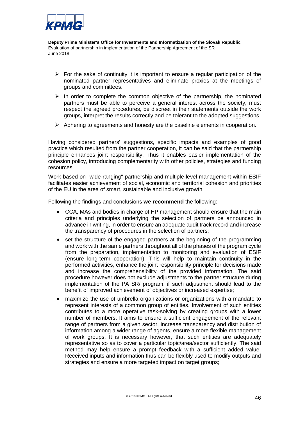

- $\triangleright$  For the sake of continuity it is important to ensure a regular participation of the nominated partner representatives and eliminate proxies at the meetings of groups and committees.
- $\triangleright$  In order to complete the common objective of the partnership, the nominated partners must be able to perceive a general interest across the society, must respect the agreed procedures, be discreet in their statements outside the work groups, interpret the results correctly and be tolerant to the adopted suggestions.
- $\triangleright$  Adhering to agreements and honesty are the baseline elements in cooperation.

Having considered partners' suggestions, specific impacts and examples of good practice which resulted from the partner cooperation, it can be said that the partnership principle enhances joint responsibility. Thus it enables easier implementation of the cohesion policy, introducing complementarity with other policies, strategies and funding resources.

Work based on "wide-ranging" partnership and multiple-level management within ESIF facilitates easier achievement of social, economic and territorial cohesion and priorities of the EU in the area of smart, sustainable and inclusive growth.

Following the findings and conclusions **we recommend** the following:

- CCA, MAs and bodies in charge of HP management should ensure that the main criteria and principles underlying the selection of partners be announced in advance in writing, in order to ensure an adequate audit track record and increase the transparency of procedures in the selection of partners;
- set the structure of the engaged partners at the beginning of the programming and work with the same partners throughout all of the phases of the program cycle from the preparation, implementation to monitoring and evaluation of ESIF (ensure long-term cooperation). This will help to maintain continuity in the performed activities, enhance the joint responsibility principle for decisions made and increase the comprehensibility of the provided information. The said procedure however does not exclude adjustments to the partner structure during implementation of the PA SR/ program, if such adjustment should lead to the benefit of improved achievement of objectives or increased expertise;
- maximize the use of umbrella organizations or organizations with a mandate to represent interests of a common group of entities. Involvement of such entities contributes to a more operative task-solving by creating groups with a lower number of members. It aims to ensure a sufficient engagement of the relevant range of partners from a given sector, increase transparency and distribution of information among a wider range of agents, ensure a more flexible management of work groups. It is necessary however, that such entities are adequately representative so as to cover a particular topic/area/sector sufficiently. The said method may help ensure a prompt feedback with a sufficient added value. Received inputs and information thus can be flexibly used to modify outputs and strategies and ensure a more targeted impact on target groups;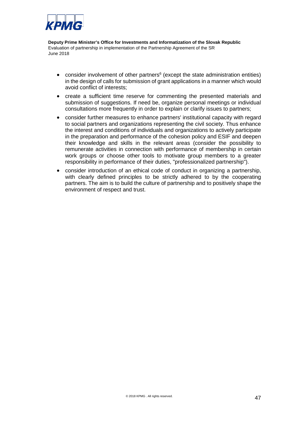

- consider involvement of other partners $6$  (except the state administration entities) in the design of calls for submission of grant applications in a manner which would avoid conflict of interests;
- create a sufficient time reserve for commenting the presented materials and submission of suggestions. If need be, organize personal meetings or individual consultations more frequently in order to explain or clarify issues to partners;
- consider further measures to enhance partners' institutional capacity with regard to social partners and organizations representing the civil society. Thus enhance the interest and conditions of individuals and organizations to actively participate in the preparation and performance of the cohesion policy and ESIF and deepen their knowledge and skills in the relevant areas (consider the possibility to remunerate activities in connection with performance of membership in certain work groups or choose other tools to motivate group members to a greater responsibility in performance of their duties, "professionalized partnership").
- consider introduction of an ethical code of conduct in organizing a partnership, with clearly defined principles to be strictly adhered to by the cooperating partners. The aim is to build the culture of partnership and to positively shape the environment of respect and trust.